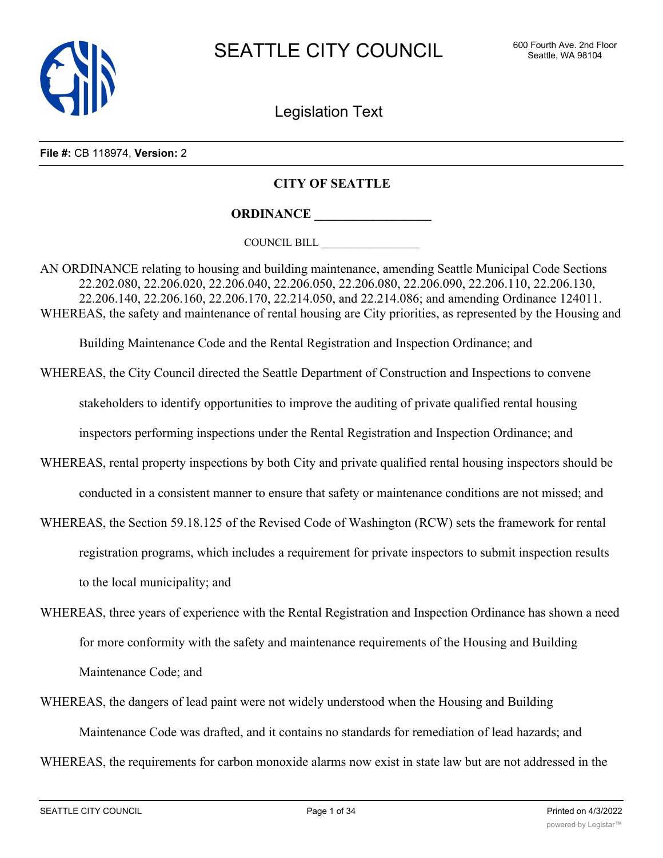

Legislation Text

#### **File #:** CB 118974, **Version:** 2

#### **CITY OF SEATTLE**

**ORDINANCE \_\_\_\_\_\_\_\_\_\_\_\_\_\_\_\_\_\_**

COUNCIL BILL \_\_\_\_\_\_\_\_\_\_\_\_\_\_\_\_\_\_

AN ORDINANCE relating to housing and building maintenance, amending Seattle Municipal Code Sections 22.202.080, 22.206.020, 22.206.040, 22.206.050, 22.206.080, 22.206.090, 22.206.110, 22.206.130, 22.206.140, 22.206.160, 22.206.170, 22.214.050, and 22.214.086; and amending Ordinance 124011. WHEREAS, the safety and maintenance of rental housing are City priorities, as represented by the Housing and

Building Maintenance Code and the Rental Registration and Inspection Ordinance; and

- WHEREAS, the City Council directed the Seattle Department of Construction and Inspections to convene stakeholders to identify opportunities to improve the auditing of private qualified rental housing inspectors performing inspections under the Rental Registration and Inspection Ordinance; and
- WHEREAS, rental property inspections by both City and private qualified rental housing inspectors should be conducted in a consistent manner to ensure that safety or maintenance conditions are not missed; and
- WHEREAS, the Section 59.18.125 of the Revised Code of Washington (RCW) sets the framework for rental registration programs, which includes a requirement for private inspectors to submit inspection results to the local municipality; and
- WHEREAS, three years of experience with the Rental Registration and Inspection Ordinance has shown a need for more conformity with the safety and maintenance requirements of the Housing and Building Maintenance Code; and
- WHEREAS, the dangers of lead paint were not widely understood when the Housing and Building Maintenance Code was drafted, and it contains no standards for remediation of lead hazards; and

WHEREAS, the requirements for carbon monoxide alarms now exist in state law but are not addressed in the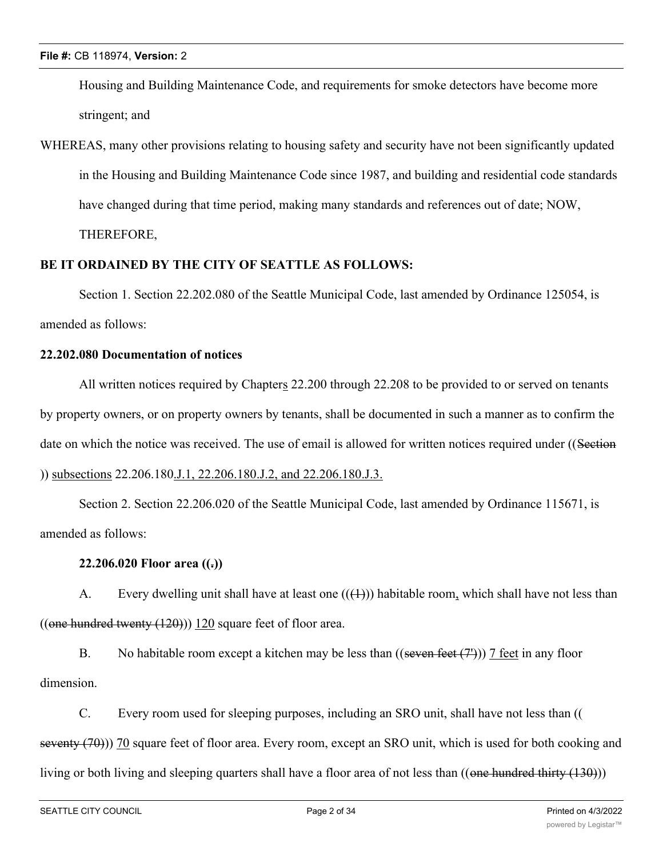Housing and Building Maintenance Code, and requirements for smoke detectors have become more stringent; and

WHEREAS, many other provisions relating to housing safety and security have not been significantly updated in the Housing and Building Maintenance Code since 1987, and building and residential code standards have changed during that time period, making many standards and references out of date; NOW,

THEREFORE,

# **BE IT ORDAINED BY THE CITY OF SEATTLE AS FOLLOWS:**

Section 1. Section 22.202.080 of the Seattle Municipal Code, last amended by Ordinance 125054, is amended as follows:

### **22.202.080 Documentation of notices**

All written notices required by Chapters 22.200 through 22.208 to be provided to or served on tenants by property owners, or on property owners by tenants, shall be documented in such a manner as to confirm the date on which the notice was received. The use of email is allowed for written notices required under ((Section )) subsections 22.206.180.J.1, 22.206.180.J.2, and 22.206.180.J.3.

Section 2. Section 22.206.020 of the Seattle Municipal Code, last amended by Ordinance 115671, is amended as follows:

### **22.206.020 Floor area ((.))**

A. Every dwelling unit shall have at least one  $((+))$  habitable room, which shall have not less than ((one hundred twenty  $(120)$ ))  $120$  square feet of floor area.

B. No habitable room except a kitchen may be less than  $((\text{seven feet}(\mathcal{T})))$  7 feet in any floor dimension.

C. Every room used for sleeping purposes, including an SRO unit, shall have not less than (( seventy (70))) 70 square feet of floor area. Every room, except an SRO unit, which is used for both cooking and living or both living and sleeping quarters shall have a floor area of not less than ((one hundred thirty (130)))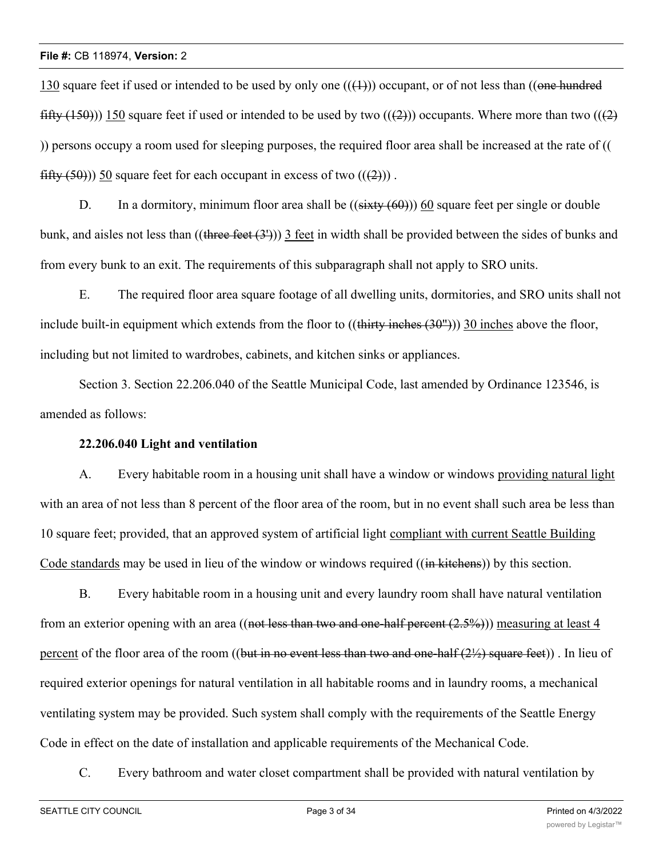130 square feet if used or intended to be used by only one  $((+))$  occupant, or of not less than ((one hundred fifty (150))) 150 square feet if used or intended to be used by two  $((2))$  occupants. Where more than two  $((2)$ )) persons occupy a room used for sleeping purposes, the required floor area shall be increased at the rate of (( fifty  $(50)$ )) 50 square feet for each occupant in excess of two  $((2))$ .

D. In a dormitory, minimum floor area shall be  $((sixty (60)))$  60 square feet per single or double bunk, and aisles not less than  $((there feet (3')))$  3 feet in width shall be provided between the sides of bunks and from every bunk to an exit. The requirements of this subparagraph shall not apply to SRO units.

E. The required floor area square footage of all dwelling units, dormitories, and SRO units shall not include built-in equipment which extends from the floor to  $((\text{thirty inches } (30^{\circ}))$ ) 30 inches above the floor, including but not limited to wardrobes, cabinets, and kitchen sinks or appliances.

Section 3. Section 22.206.040 of the Seattle Municipal Code, last amended by Ordinance 123546, is amended as follows:

### **22.206.040 Light and ventilation**

A. Every habitable room in a housing unit shall have a window or windows providing natural light with an area of not less than 8 percent of the floor area of the room, but in no event shall such area be less than 10 square feet; provided, that an approved system of artificial light compliant with current Seattle Building Code standards may be used in lieu of the window or windows required ((in kitchens)) by this section.

B. Every habitable room in a housing unit and every laundry room shall have natural ventilation from an exterior opening with an area ((not less than two and one-half percent  $(2.5\%)$ )) measuring at least 4 percent of the floor area of the room ((but in no event less than two and one-half  $(2\frac{1}{2})$  square feet)). In lieu of required exterior openings for natural ventilation in all habitable rooms and in laundry rooms, a mechanical ventilating system may be provided. Such system shall comply with the requirements of the Seattle Energy Code in effect on the date of installation and applicable requirements of the Mechanical Code.

C. Every bathroom and water closet compartment shall be provided with natural ventilation by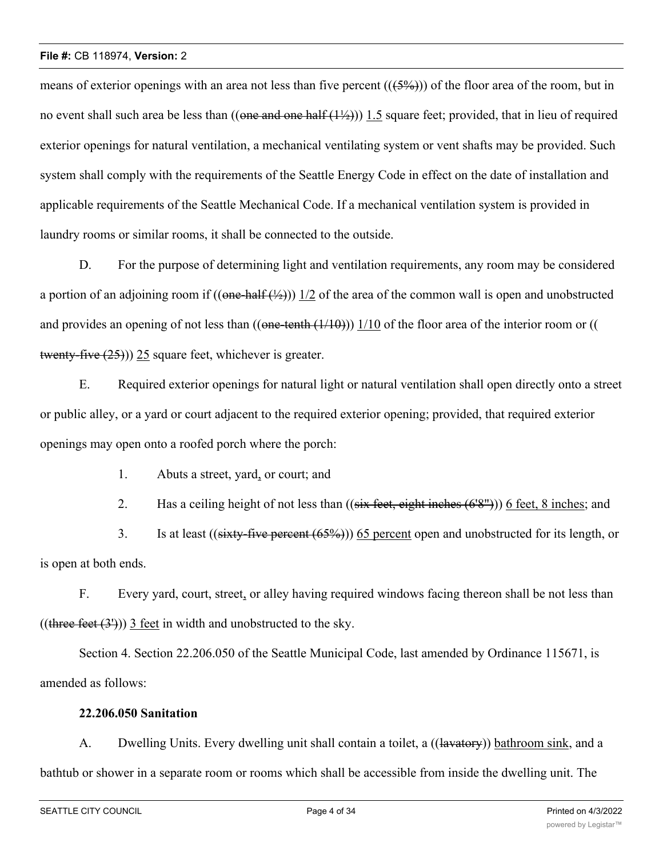means of exterior openings with an area not less than five percent  $((5\%)$ ) of the floor area of the room, but in no event shall such area be less than  $((one and one half (1/2)))$  1.5 square feet; provided, that in lieu of required exterior openings for natural ventilation, a mechanical ventilating system or vent shafts may be provided. Such system shall comply with the requirements of the Seattle Energy Code in effect on the date of installation and applicable requirements of the Seattle Mechanical Code. If a mechanical ventilation system is provided in laundry rooms or similar rooms, it shall be connected to the outside.

D. For the purpose of determining light and ventilation requirements, any room may be considered a portion of an adjoining room if  $((one-half (2))$  1/2 of the area of the common wall is open and unobstructed and provides an opening of not less than  $((one-tenth (1/10)))$  1/10 of the floor area of the interior room or  $(($ twenty-five  $(25)$ )) 25 square feet, whichever is greater.

E. Required exterior openings for natural light or natural ventilation shall open directly onto a street or public alley, or a yard or court adjacent to the required exterior opening; provided, that required exterior openings may open onto a roofed porch where the porch:

1. Abuts a street, yard, or court; and

2. Has a ceiling height of not less than  $((six feet, eight inches (6'8''))$  6 feet, 8 inches; and

3. Is at least ((sixty-five percent (65%))) 65 percent open and unobstructed for its length, or is open at both ends.

F. Every yard, court, street, or alley having required windows facing thereon shall be not less than  $((there feet (3')))$  3 feet in width and unobstructed to the sky.

Section 4. Section 22.206.050 of the Seattle Municipal Code, last amended by Ordinance 115671, is amended as follows:

### **22.206.050 Sanitation**

A. Dwelling Units. Every dwelling unit shall contain a toilet, a ((lavatory)) bathroom sink, and a bathtub or shower in a separate room or rooms which shall be accessible from inside the dwelling unit. The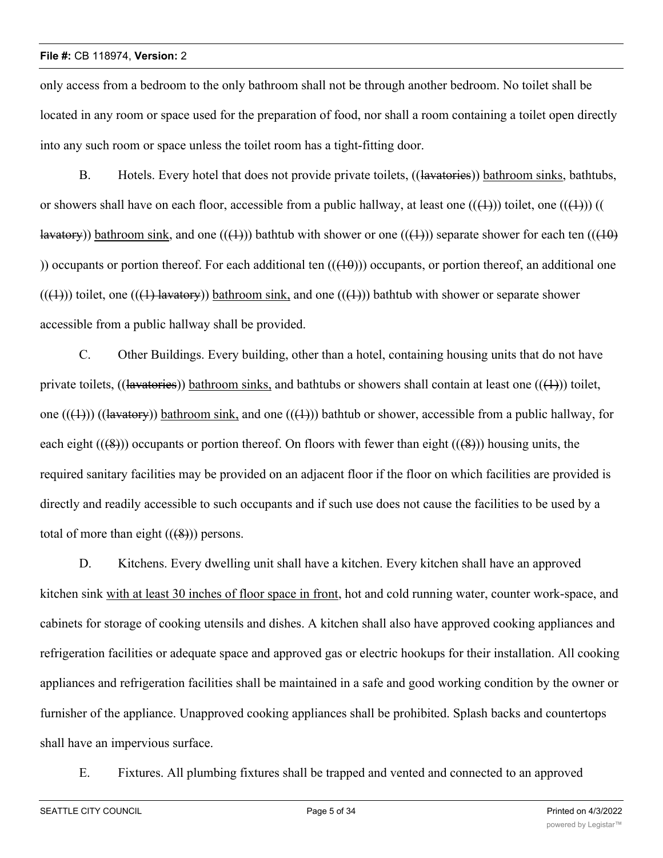only access from a bedroom to the only bathroom shall not be through another bedroom. No toilet shall be located in any room or space used for the preparation of food, nor shall a room containing a toilet open directly into any such room or space unless the toilet room has a tight-fitting door.

B. Hotels. Every hotel that does not provide private toilets, ((lavatories)) bathroom sinks, bathtubs, or showers shall have on each floor, accessible from a public hallway, at least one  $((+))$ ) toilet, one  $((+))$ ) (( lavatory)) bathroom sink, and one  $((+))$  bathtub with shower or one  $((+))$  separate shower for each ten  $((+0)$ )) occupants or portion thereof. For each additional ten  $((10))$  occupants, or portion thereof, an additional one  $((+))$ ) toilet, one  $((+))$  lavatory) bathroom sink, and one  $((+))$  bathtub with shower or separate shower accessible from a public hallway shall be provided.

C. Other Buildings. Every building, other than a hotel, containing housing units that do not have private toilets, ((lavatories)) bathroom sinks, and bathtubs or showers shall contain at least one (( $(1)$ )) toilet, one  $((+))$  ((lavatory)) bathroom sink, and one  $((+))$  bathtub or shower, accessible from a public hallway, for each eight  $((8))$  occupants or portion thereof. On floors with fewer than eight  $((8))$  housing units, the required sanitary facilities may be provided on an adjacent floor if the floor on which facilities are provided is directly and readily accessible to such occupants and if such use does not cause the facilities to be used by a total of more than eight  $((\cancel{8}))$  persons.

D. Kitchens. Every dwelling unit shall have a kitchen. Every kitchen shall have an approved kitchen sink with at least 30 inches of floor space in front, hot and cold running water, counter work-space, and cabinets for storage of cooking utensils and dishes. A kitchen shall also have approved cooking appliances and refrigeration facilities or adequate space and approved gas or electric hookups for their installation. All cooking appliances and refrigeration facilities shall be maintained in a safe and good working condition by the owner or furnisher of the appliance. Unapproved cooking appliances shall be prohibited. Splash backs and countertops shall have an impervious surface.

E. Fixtures. All plumbing fixtures shall be trapped and vented and connected to an approved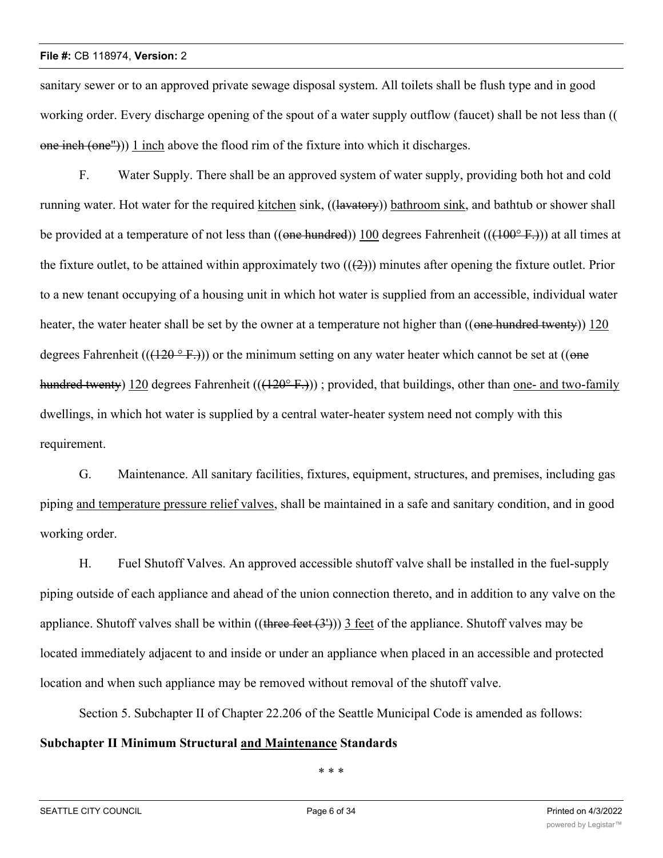sanitary sewer or to an approved private sewage disposal system. All toilets shall be flush type and in good working order. Every discharge opening of the spout of a water supply outflow (faucet) shall be not less than ((  $one$  inch (one"))) 1 inch above the flood rim of the fixture into which it discharges.

F. Water Supply. There shall be an approved system of water supply, providing both hot and cold running water. Hot water for the required kitchen sink, ((lavatory)) bathroom sink, and bathtub or shower shall be provided at a temperature of not less than  $((one hundred))$  100 degrees Fahrenheit  $(((100^{\circ} \text{F})))$  at all times at the fixture outlet, to be attained within approximately two  $((2))$  minutes after opening the fixture outlet. Prior to a new tenant occupying of a housing unit in which hot water is supplied from an accessible, individual water heater, the water heater shall be set by the owner at a temperature not higher than ((one hundred twenty)) 120 degrees Fahrenheit (( $(120^{\circ} \text{F.})$ )) or the minimum setting on any water heater which cannot be set at (( $\theta$ ne hundred twenty) 120 degrees Fahrenheit  $(((120^{\circ} \text{F.})))$ ; provided, that buildings, other than one- and two-family dwellings, in which hot water is supplied by a central water-heater system need not comply with this requirement.

G. Maintenance. All sanitary facilities, fixtures, equipment, structures, and premises, including gas piping and temperature pressure relief valves, shall be maintained in a safe and sanitary condition, and in good working order.

H. Fuel Shutoff Valves. An approved accessible shutoff valve shall be installed in the fuel-supply piping outside of each appliance and ahead of the union connection thereto, and in addition to any valve on the appliance. Shutoff valves shall be within  $((\text{three feet}(3^{\circ}))$  3 feet of the appliance. Shutoff valves may be located immediately adjacent to and inside or under an appliance when placed in an accessible and protected location and when such appliance may be removed without removal of the shutoff valve.

Section 5. Subchapter II of Chapter 22.206 of the Seattle Municipal Code is amended as follows:

# **Subchapter II Minimum Structural and Maintenance Standards**

\* \* \*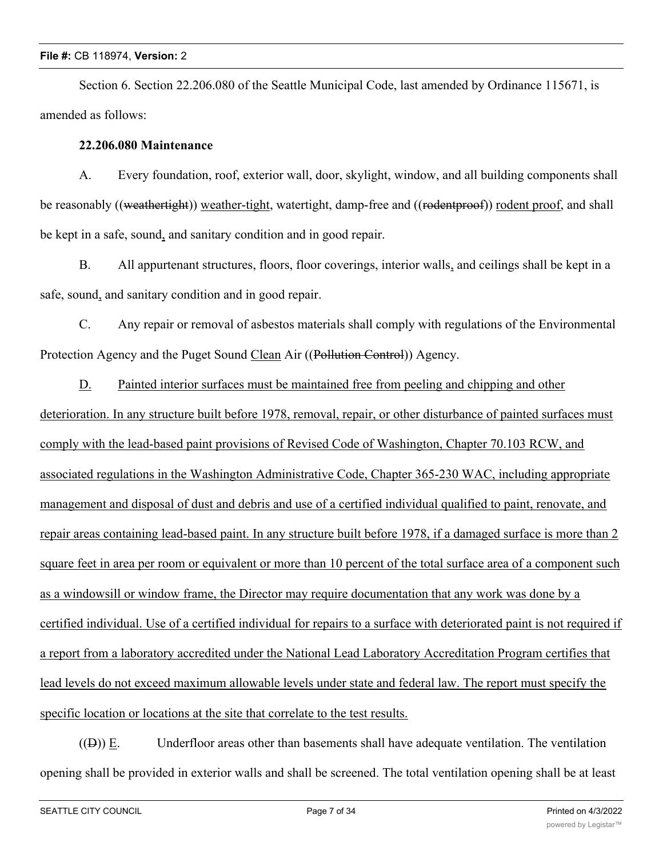Section 6. Section 22.206.080 of the Seattle Municipal Code, last amended by Ordinance 115671, is amended as follows:

## **22.206.080 Maintenance**

A. Every foundation, roof, exterior wall, door, skylight, window, and all building components shall be reasonably ((weathertight)) weather-tight, watertight, damp-free and ((rodentproof)) rodent proof, and shall be kept in a safe, sound, and sanitary condition and in good repair.

B. All appurtenant structures, floors, floor coverings, interior walls, and ceilings shall be kept in a safe, sound, and sanitary condition and in good repair.

C. Any repair or removal of asbestos materials shall comply with regulations of the Environmental Protection Agency and the Puget Sound Clean Air ((Pollution Control)) Agency.

D. Painted interior surfaces must be maintained free from peeling and chipping and other deterioration. In any structure built before 1978, removal, repair, or other disturbance of painted surfaces must comply with the lead-based paint provisions of Revised Code of Washington, Chapter 70.103 RCW, and associated regulations in the Washington Administrative Code, Chapter 365-230 WAC, including appropriate management and disposal of dust and debris and use of a certified individual qualified to paint, renovate, and repair areas containing lead-based paint. In any structure built before 1978, if a damaged surface is more than 2 square feet in area per room or equivalent or more than 10 percent of the total surface area of a component such as a windowsill or window frame, the Director may require documentation that any work was done by a certified individual. Use of a certified individual for repairs to a surface with deteriorated paint is not required if a report from a laboratory accredited under the National Lead Laboratory Accreditation Program certifies that lead levels do not exceed maximum allowable levels under state and federal law. The report must specify the specific location or locations at the site that correlate to the test results.

 $((\theta))$  E. Underfloor areas other than basements shall have adequate ventilation. The ventilation opening shall be provided in exterior walls and shall be screened. The total ventilation opening shall be at least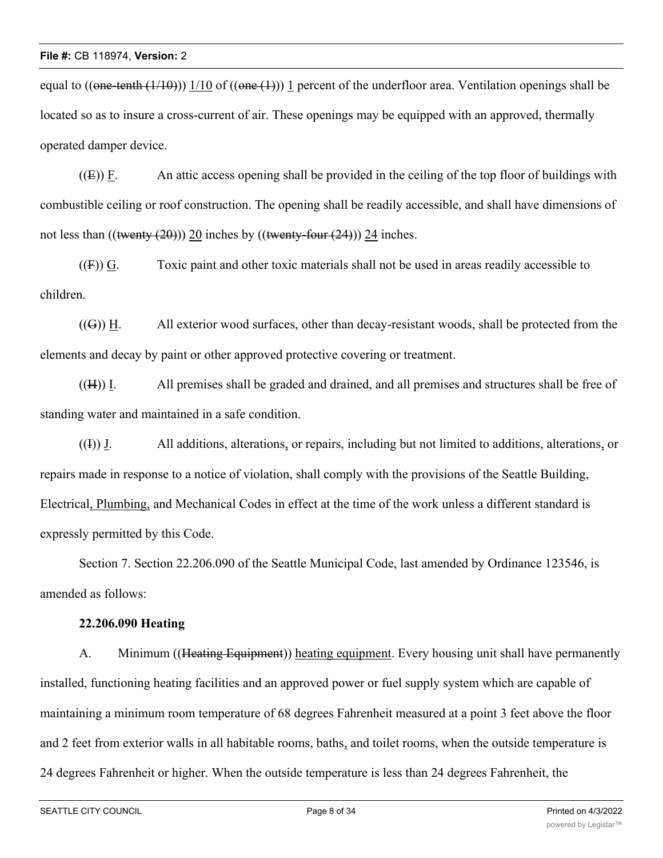equal to  $((one-tenth (1/10))$  1/10 of  $((one (1)))$  1 percent of the underfloor area. Ventilation openings shall be located so as to insure a cross-current of air. These openings may be equipped with an approved, thermally operated damper device.

 $((E))$  F. An attic access opening shall be provided in the ceiling of the top floor of buildings with combustible ceiling or roof construction. The opening shall be readily accessible, and shall have dimensions of not less than  $((\text{twenty (20)}))$  20 inches by  $((\text{twenty-four (24)}))$  24 inches.

 $((F))$  G. Toxic paint and other toxic materials shall not be used in areas readily accessible to children.

 $((G))$  H. All exterior wood surfaces, other than decay-resistant woods, shall be protected from the elements and decay by paint or other approved protective covering or treatment.

((H)) I. All premises shall be graded and drained, and all premises and structures shall be free of standing water and maintained in a safe condition.

 $((1))$  J. All additions, alterations, or repairs, including but not limited to additions, alterations, or repairs made in response to a notice of violation, shall comply with the provisions of the Seattle Building, Electrical, Plumbing, and Mechanical Codes in effect at the time of the work unless a different standard is expressly permitted by this Code.

Section 7. Section 22.206.090 of the Seattle Municipal Code, last amended by Ordinance 123546, is amended as follows:

### **22.206.090 Heating**

A. Minimum ((Heating Equipment)) heating equipment. Every housing unit shall have permanently installed, functioning heating facilities and an approved power or fuel supply system which are capable of maintaining a minimum room temperature of 68 degrees Fahrenheit measured at a point 3 feet above the floor and 2 feet from exterior walls in all habitable rooms, baths, and toilet rooms, when the outside temperature is 24 degrees Fahrenheit or higher. When the outside temperature is less than 24 degrees Fahrenheit, the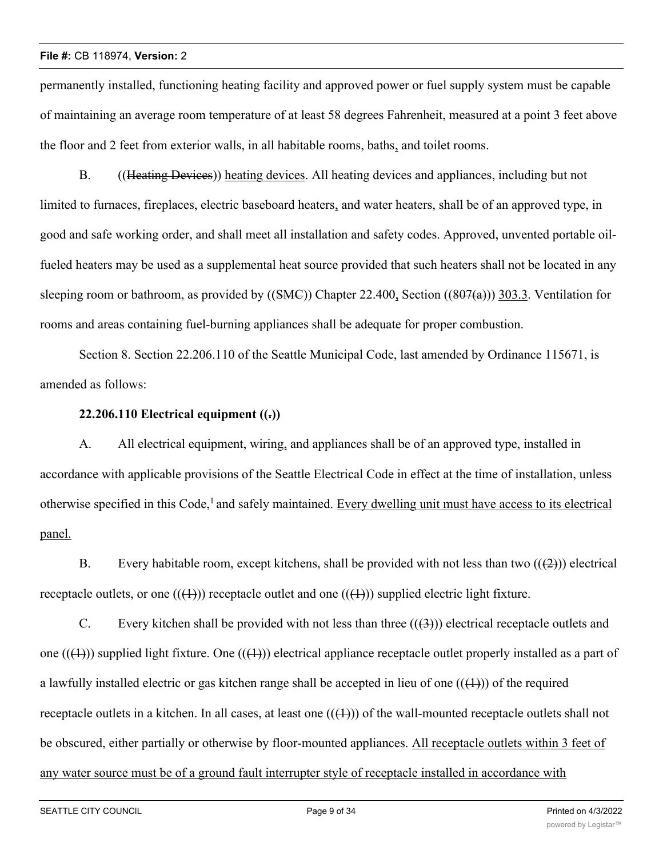permanently installed, functioning heating facility and approved power or fuel supply system must be capable of maintaining an average room temperature of at least 58 degrees Fahrenheit, measured at a point 3 feet above the floor and 2 feet from exterior walls, in all habitable rooms, baths, and toilet rooms.

B. (Heating Devices) heating devices. All heating devices and appliances, including but not limited to furnaces, fireplaces, electric baseboard heaters, and water heaters, shall be of an approved type, in good and safe working order, and shall meet all installation and safety codes. Approved, unvented portable oilfueled heaters may be used as a supplemental heat source provided that such heaters shall not be located in any sleeping room or bathroom, as provided by  $((SMC))$  Chapter 22.400, Section  $((807(a)))$  303.3. Ventilation for rooms and areas containing fuel-burning appliances shall be adequate for proper combustion.

Section 8. Section 22.206.110 of the Seattle Municipal Code, last amended by Ordinance 115671, is amended as follows:

## **22.206.110 Electrical equipment ((.))**

A. All electrical equipment, wiring, and appliances shall be of an approved type, installed in accordance with applicable provisions of the Seattle Electrical Code in effect at the time of installation, unless otherwise specified in this Code,<sup>1</sup> and safely maintained. Every dwelling unit must have access to its electrical panel.

B. Every habitable room, except kitchens, shall be provided with not less than two  $((2))$  electrical receptacle outlets, or one  $((+))$  receptacle outlet and one  $((+))$  supplied electric light fixture.

C. Every kitchen shall be provided with not less than three  $((3))$  electrical receptacle outlets and one  $((+))$  supplied light fixture. One  $((+))$  electrical appliance receptacle outlet properly installed as a part of a lawfully installed electric or gas kitchen range shall be accepted in lieu of one  $((+))$  of the required receptacle outlets in a kitchen. In all cases, at least one  $((+))$  of the wall-mounted receptacle outlets shall not be obscured, either partially or otherwise by floor-mounted appliances. All receptacle outlets within 3 feet of any water source must be of a ground fault interrupter style of receptacle installed in accordance with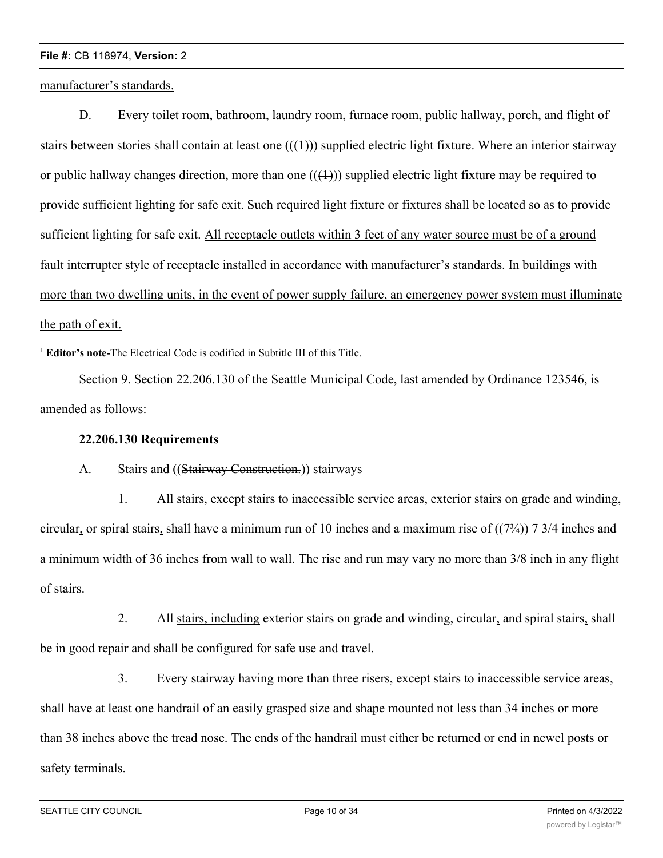manufacturer's standards.

D. Every toilet room, bathroom, laundry room, furnace room, public hallway, porch, and flight of stairs between stories shall contain at least one  $((+))$  supplied electric light fixture. Where an interior stairway or public hallway changes direction, more than one  $((+))$  supplied electric light fixture may be required to provide sufficient lighting for safe exit. Such required light fixture or fixtures shall be located so as to provide sufficient lighting for safe exit. All receptacle outlets within 3 feet of any water source must be of a ground fault interrupter style of receptacle installed in accordance with manufacturer's standards. In buildings with more than two dwelling units, in the event of power supply failure, an emergency power system must illuminate the path of exit.

<sup>1</sup> **Editor's note-**The Electrical Code is codified in Subtitle III of this Title.

Section 9. Section 22.206.130 of the Seattle Municipal Code, last amended by Ordinance 123546, is amended as follows:

## **22.206.130 Requirements**

### A. Stairs and ((Stairway Construction.)) stairways

1. All stairs, except stairs to inaccessible service areas, exterior stairs on grade and winding, circular, or spiral stairs, shall have a minimum run of 10 inches and a maximum rise of  $((7\frac{3}{4}))$  7 3/4 inches and a minimum width of 36 inches from wall to wall. The rise and run may vary no more than 3/8 inch in any flight of stairs.

2. All stairs, including exterior stairs on grade and winding, circular, and spiral stairs, shall be in good repair and shall be configured for safe use and travel.

3. Every stairway having more than three risers, except stairs to inaccessible service areas, shall have at least one handrail of an easily grasped size and shape mounted not less than 34 inches or more than 38 inches above the tread nose. The ends of the handrail must either be returned or end in newel posts or safety terminals.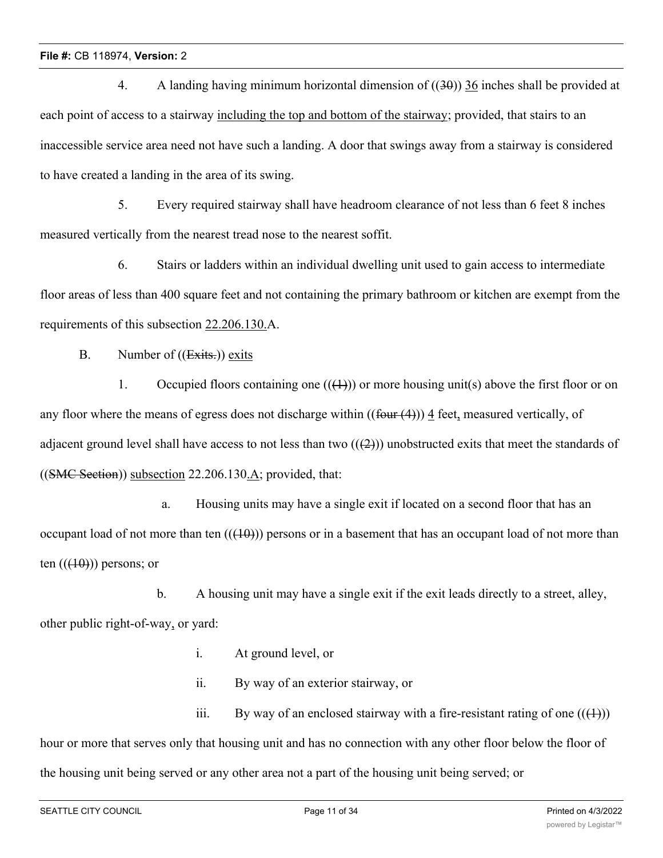4. A landing having minimum horizontal dimension of  $((30))$  36 inches shall be provided at each point of access to a stairway including the top and bottom of the stairway; provided, that stairs to an inaccessible service area need not have such a landing. A door that swings away from a stairway is considered to have created a landing in the area of its swing.

5. Every required stairway shall have headroom clearance of not less than 6 feet 8 inches measured vertically from the nearest tread nose to the nearest soffit.

6. Stairs or ladders within an individual dwelling unit used to gain access to intermediate floor areas of less than 400 square feet and not containing the primary bathroom or kitchen are exempt from the requirements of this subsection 22.206.130.A.

B. Number of ((Exits.)) exits

1. Occupied floors containing one  $((+))$  or more housing unit(s) above the first floor or on any floor where the means of egress does not discharge within  $((f_{\text{out}}(4)))$  4 feet, measured vertically, of adjacent ground level shall have access to not less than two  $((2))$  unobstructed exits that meet the standards of  $((\text{SMC Section})\)$  subsection 22.206.130.A; provided, that:

a. Housing units may have a single exit if located on a second floor that has an occupant load of not more than ten  $((10))$  persons or in a basement that has an occupant load of not more than ten  $((40))$  persons; or

b. A housing unit may have a single exit if the exit leads directly to a street, alley, other public right-of-way, or yard:

- i. At ground level, or
- ii. By way of an exterior stairway, or

iii. By way of an enclosed stairway with a fire-resistant rating of one  $((\{4\}))$ hour or more that serves only that housing unit and has no connection with any other floor below the floor of the housing unit being served or any other area not a part of the housing unit being served; or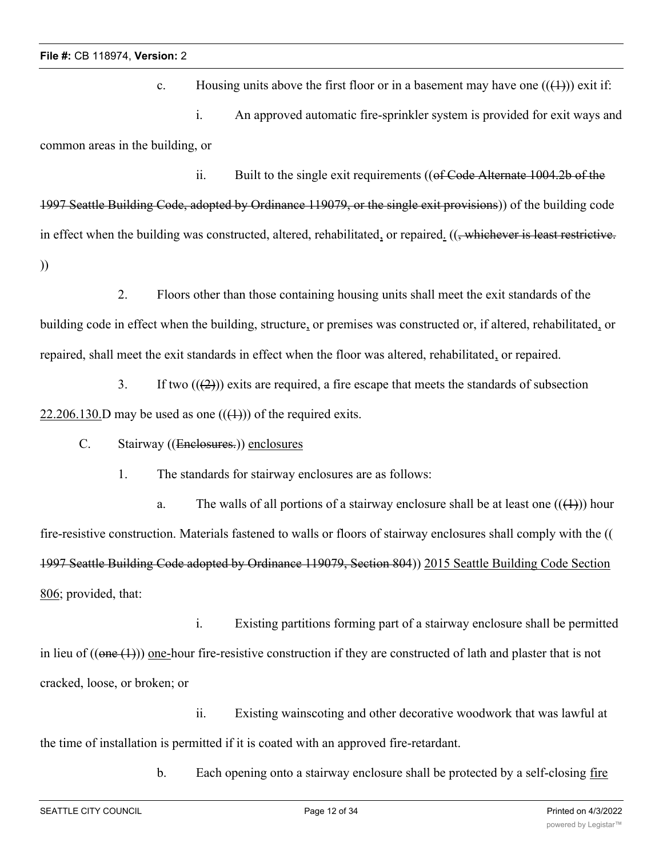c. Housing units above the first floor or in a basement may have one  $((+)$ ) exit if: i. An approved automatic fire-sprinkler system is provided for exit ways and common areas in the building, or

ii. Built to the single exit requirements  $((of Code$  Alternate 1004.2b of the 1997 Seattle Building Code, adopted by Ordinance 119079, or the single exit provisions)) of the building code in effect when the building was constructed, altered, rehabilitated, or repaired. ((, whichever is least restrictive. ))

2. Floors other than those containing housing units shall meet the exit standards of the building code in effect when the building, structure, or premises was constructed or, if altered, rehabilitated, or repaired, shall meet the exit standards in effect when the floor was altered, rehabilitated, or repaired.

3. If two  $((2))$  exits are required, a fire escape that meets the standards of subsection 22.206.130.D may be used as one  $((+))$  of the required exits.

C. Stairway ((Enclosures.)) enclosures

1. The standards for stairway enclosures are as follows:

a. The walls of all portions of a stairway enclosure shall be at least one  $((+))$  hour fire-resistive construction. Materials fastened to walls or floors of stairway enclosures shall comply with the (( 1997 Seattle Building Code adopted by Ordinance 119079, Section 804)) 2015 Seattle Building Code Section 806; provided, that:

i. Existing partitions forming part of a stairway enclosure shall be permitted in lieu of  $((one (1)))$  one-hour fire-resistive construction if they are constructed of lath and plaster that is not cracked, loose, or broken; or

ii. Existing wainscoting and other decorative woodwork that was lawful at the time of installation is permitted if it is coated with an approved fire-retardant.

b. Each opening onto a stairway enclosure shall be protected by a self-closing fire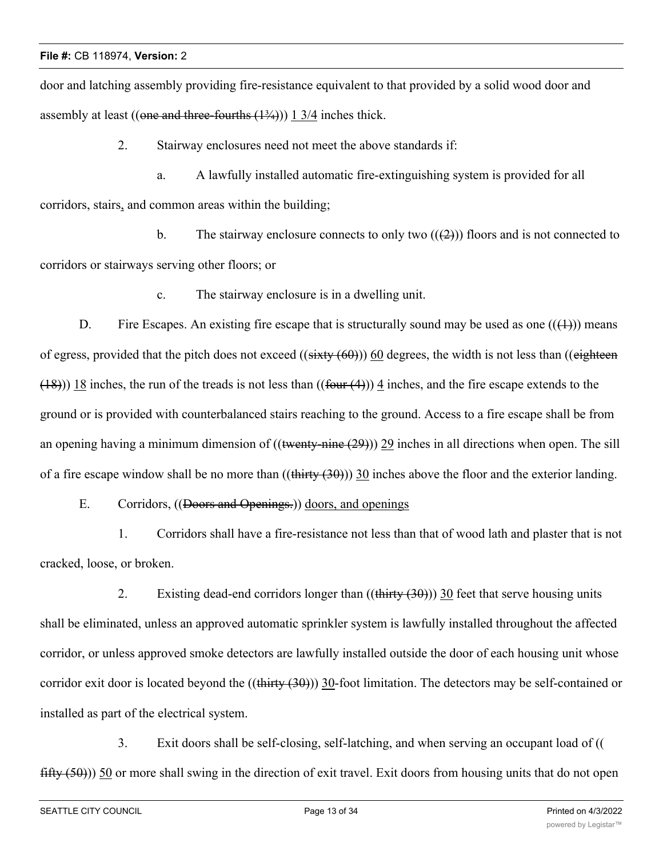door and latching assembly providing fire-resistance equivalent to that provided by a solid wood door and assembly at least ((one and three-fourths  $(1\frac{3}{4}))$ ) 1 3/4 inches thick.

2. Stairway enclosures need not meet the above standards if:

a. A lawfully installed automatic fire-extinguishing system is provided for all corridors, stairs, and common areas within the building;

b. The stairway enclosure connects to only two  $((2))$  floors and is not connected to corridors or stairways serving other floors; or

c. The stairway enclosure is in a dwelling unit.

D. Fire Escapes. An existing fire escape that is structurally sound may be used as one  $((\text{+}))$  means of egress, provided that the pitch does not exceed  $((sixty (60))$  60 degrees, the width is not less than  $((eighteen$  $(18)$ )) 18 inches, the run of the treads is not less than  $((four(4)))$  4 inches, and the fire escape extends to the ground or is provided with counterbalanced stairs reaching to the ground. Access to a fire escape shall be from an opening having a minimum dimension of  $((\text{twenty-nine (29)}))$  29 inches in all directions when open. The sill of a fire escape window shall be no more than  $((\text{thirty } (30)))$  30 inches above the floor and the exterior landing.

E. Corridors, ((Doors and Openings.)) doors, and openings

1. Corridors shall have a fire-resistance not less than that of wood lath and plaster that is not cracked, loose, or broken.

2. Existing dead-end corridors longer than  $((\text{thirty} (30)))$  30 feet that serve housing units shall be eliminated, unless an approved automatic sprinkler system is lawfully installed throughout the affected corridor, or unless approved smoke detectors are lawfully installed outside the door of each housing unit whose corridor exit door is located beyond the  $((\text{thirty } (30)))$  30-foot limitation. The detectors may be self-contained or installed as part of the electrical system.

3. Exit doors shall be self-closing, self-latching, and when serving an occupant load of ((  $fiffy(50)$ )) 50 or more shall swing in the direction of exit travel. Exit doors from housing units that do not open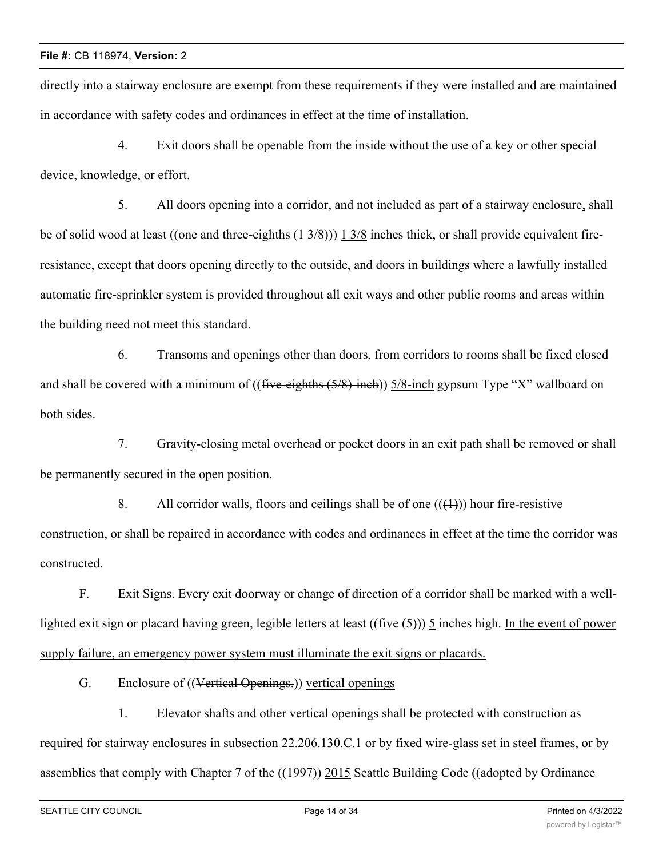directly into a stairway enclosure are exempt from these requirements if they were installed and are maintained in accordance with safety codes and ordinances in effect at the time of installation.

4. Exit doors shall be openable from the inside without the use of a key or other special device, knowledge, or effort.

5. All doors opening into a corridor, and not included as part of a stairway enclosure, shall be of solid wood at least ((one and three-eighths  $(1\frac{3}{8})$ )) 1 3/8 inches thick, or shall provide equivalent fireresistance, except that doors opening directly to the outside, and doors in buildings where a lawfully installed automatic fire-sprinkler system is provided throughout all exit ways and other public rooms and areas within the building need not meet this standard.

6. Transoms and openings other than doors, from corridors to rooms shall be fixed closed and shall be covered with a minimum of (( $f$ ive-eighths  $(5/8)$ -inch)) 5/8-inch gypsum Type "X" wallboard on both sides.

7. Gravity-closing metal overhead or pocket doors in an exit path shall be removed or shall be permanently secured in the open position.

8. All corridor walls, floors and ceilings shall be of one  $((+))$  hour fire-resistive construction, or shall be repaired in accordance with codes and ordinances in effect at the time the corridor was constructed.

F. Exit Signs. Every exit doorway or change of direction of a corridor shall be marked with a welllighted exit sign or placard having green, legible letters at least  $((\text{five}(5)))$  5 inches high. In the event of power supply failure, an emergency power system must illuminate the exit signs or placards.

G. Enclosure of ((Vertical Openings.)) vertical openings

1. Elevator shafts and other vertical openings shall be protected with construction as required for stairway enclosures in subsection  $22.206.130$  C<sub>1</sub> or by fixed wire-glass set in steel frames, or by assemblies that comply with Chapter 7 of the  $((1997))$  2015 Seattle Building Code ((adopted by Ordinance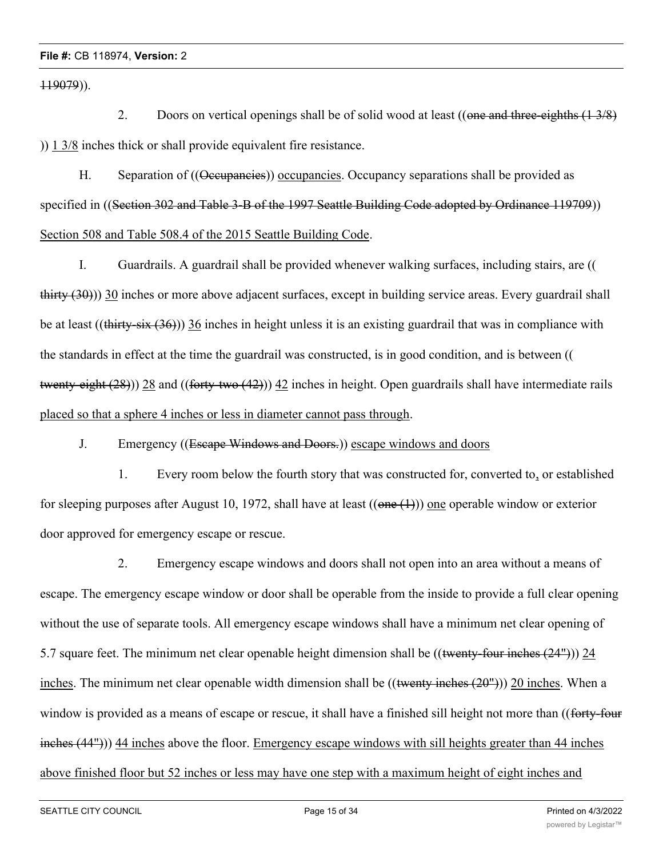119079)).

2. Doors on vertical openings shall be of solid wood at least ((one and three-eighths  $(1\frac{3}{8})$ ) )) 1 3/8 inches thick or shall provide equivalent fire resistance.

H. Separation of ((<del>Qeeupancies</del>)) occupancies. Occupancy separations shall be provided as specified in ((Section 302 and Table 3-B of the 1997 Seattle Building Code adopted by Ordinance 119709)) Section 508 and Table 508.4 of the 2015 Seattle Building Code.

I. Guardrails. A guardrail shall be provided whenever walking surfaces, including stairs, are (( thirty (30))) 30 inches or more above adjacent surfaces, except in building service areas. Every guardrail shall be at least ((thirty-six  $(36)$ )) 36 inches in height unless it is an existing guardrail that was in compliance with the standards in effect at the time the guardrail was constructed, is in good condition, and is between (( twenty-eight (28))) 28 and ((forty-two (42))) 42 inches in height. Open guardrails shall have intermediate rails placed so that a sphere 4 inches or less in diameter cannot pass through.

J. Emergency ((Escape Windows and Doors.)) escape windows and doors

1. Every room below the fourth story that was constructed for, converted to, or established for sleeping purposes after August 10, 1972, shall have at least  $((one (1))$  one operable window or exterior door approved for emergency escape or rescue.

2. Emergency escape windows and doors shall not open into an area without a means of escape. The emergency escape window or door shall be operable from the inside to provide a full clear opening without the use of separate tools. All emergency escape windows shall have a minimum net clear opening of 5.7 square feet. The minimum net clear openable height dimension shall be ((twenty-four inches (24"))) 24 inches. The minimum net clear openable width dimension shall be  $((\text{twenty inches} (20^{\circ})) 20 \text{ inches}$ . When a window is provided as a means of escape or rescue, it shall have a finished sill height not more than ((forty-four inches (44"))) 44 inches above the floor. Emergency escape windows with sill heights greater than 44 inches above finished floor but 52 inches or less may have one step with a maximum height of eight inches and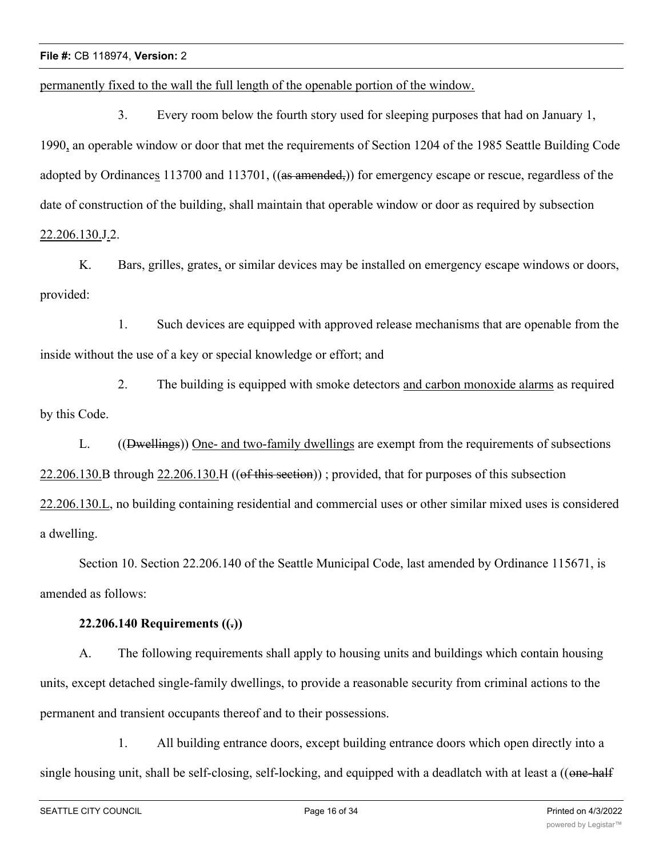permanently fixed to the wall the full length of the openable portion of the window.

3. Every room below the fourth story used for sleeping purposes that had on January 1, 1990, an operable window or door that met the requirements of Section 1204 of the 1985 Seattle Building Code adopted by Ordinances 113700 and 113701, ((as amended,)) for emergency escape or rescue, regardless of the date of construction of the building, shall maintain that operable window or door as required by subsection 22.206.130.J.2.

K. Bars, grilles, grates, or similar devices may be installed on emergency escape windows or doors, provided:

1. Such devices are equipped with approved release mechanisms that are openable from the inside without the use of a key or special knowledge or effort; and

2. The building is equipped with smoke detectors and carbon monoxide alarms as required by this Code.

L. ((Dwellings)) One- and two-family dwellings are exempt from the requirements of subsections  $22.206.130.B$  through  $22.206.130.H$  ((of this section)); provided, that for purposes of this subsection 22.206.130.L, no building containing residential and commercial uses or other similar mixed uses is considered a dwelling.

Section 10. Section 22.206.140 of the Seattle Municipal Code, last amended by Ordinance 115671, is amended as follows:

### **22.206.140 Requirements ((.))**

A. The following requirements shall apply to housing units and buildings which contain housing units, except detached single-family dwellings, to provide a reasonable security from criminal actions to the permanent and transient occupants thereof and to their possessions.

1. All building entrance doors, except building entrance doors which open directly into a single housing unit, shall be self-closing, self-locking, and equipped with a deadlatch with at least a ((one-half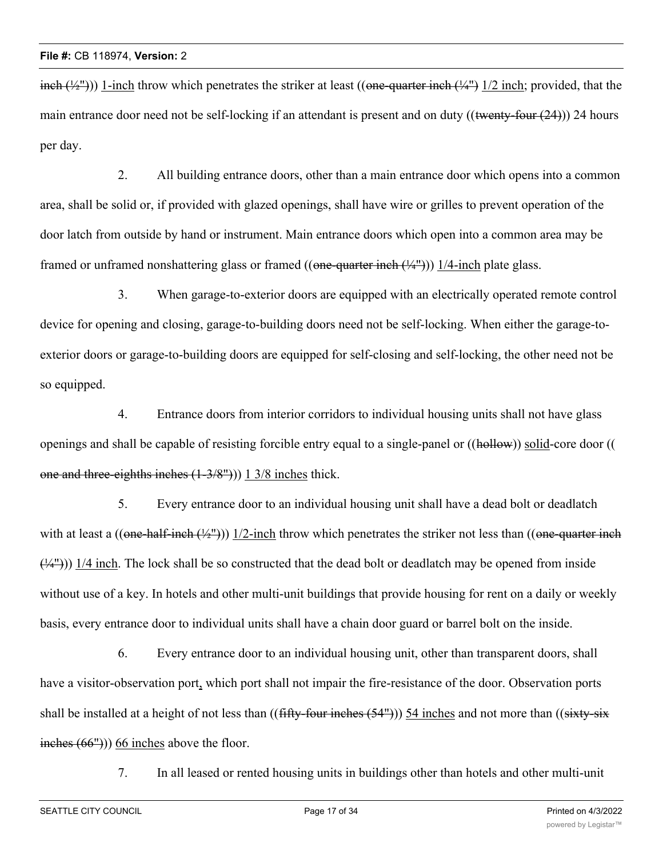$\frac{\text{inch } (\frac{1}{4})}{1}$ )) 1-inch throw which penetrates the striker at least ((one-quarter inch  $\frac{1}{4}$ ) 1/2 inch; provided, that the main entrance door need not be self-locking if an attendant is present and on duty ((twenty-four (24))) 24 hours per day.

2. All building entrance doors, other than a main entrance door which opens into a common area, shall be solid or, if provided with glazed openings, shall have wire or grilles to prevent operation of the door latch from outside by hand or instrument. Main entrance doors which open into a common area may be framed or unframed nonshattering glass or framed  $((one-quarter inch (4<sup>4</sup>))$ ) 1/4-inch plate glass.

3. When garage-to-exterior doors are equipped with an electrically operated remote control device for opening and closing, garage-to-building doors need not be self-locking. When either the garage-toexterior doors or garage-to-building doors are equipped for self-closing and self-locking, the other need not be so equipped.

4. Entrance doors from interior corridors to individual housing units shall not have glass openings and shall be capable of resisting forcible entry equal to a single-panel or ((hollow)) solid-core door (( one and three-eighths inches (1-3/8"))) 1 3/8 inches thick.

5. Every entrance door to an individual housing unit shall have a dead bolt or deadlatch with at least a ((one-half-inch  $(\frac{1}{2})$ )) 1/2-inch throw which penetrates the striker not less than ((one-quarter inch  $(\frac{1}{4})$ )) 1/4 inch. The lock shall be so constructed that the dead bolt or deadlatch may be opened from inside without use of a key. In hotels and other multi-unit buildings that provide housing for rent on a daily or weekly basis, every entrance door to individual units shall have a chain door guard or barrel bolt on the inside.

6. Every entrance door to an individual housing unit, other than transparent doors, shall have a visitor-observation port, which port shall not impair the fire-resistance of the door. Observation ports shall be installed at a height of not less than ((fifty-four inches (54"))) 54 inches and not more than ((sixty-six  $\frac{\text{inches } (66")}{0}$  66 inches above the floor.

7. In all leased or rented housing units in buildings other than hotels and other multi-unit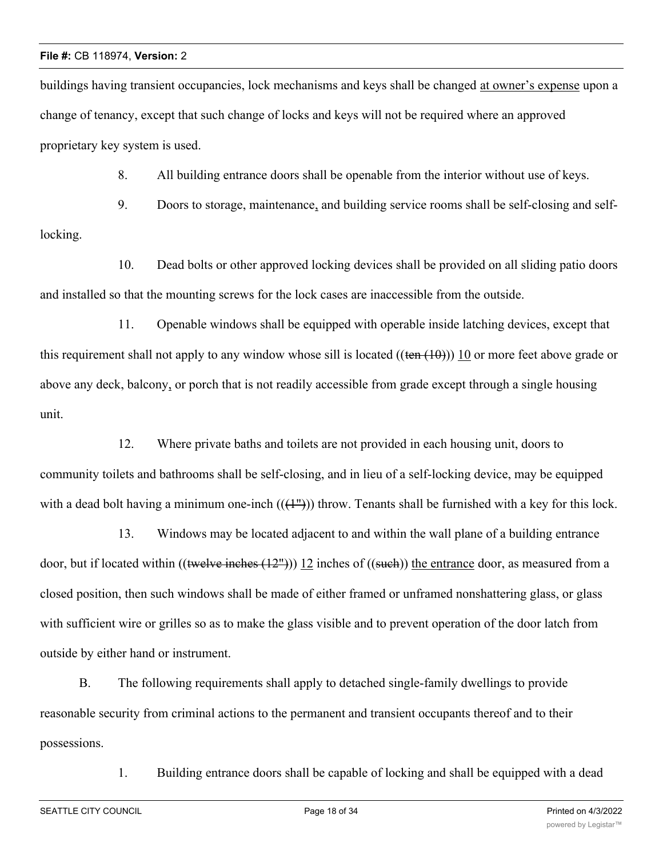buildings having transient occupancies, lock mechanisms and keys shall be changed at owner's expense upon a change of tenancy, except that such change of locks and keys will not be required where an approved proprietary key system is used.

8. All building entrance doors shall be openable from the interior without use of keys.

9. Doors to storage, maintenance, and building service rooms shall be self-closing and selflocking.

10. Dead bolts or other approved locking devices shall be provided on all sliding patio doors and installed so that the mounting screws for the lock cases are inaccessible from the outside.

11. Openable windows shall be equipped with operable inside latching devices, except that this requirement shall not apply to any window whose sill is located  $((\text{ten } (10))$ ) 10 or more feet above grade or above any deck, balcony, or porch that is not readily accessible from grade except through a single housing unit.

12. Where private baths and toilets are not provided in each housing unit, doors to community toilets and bathrooms shall be self-closing, and in lieu of a self-locking device, may be equipped with a dead bolt having a minimum one-inch  $((+^{\prime\prime}))$  throw. Tenants shall be furnished with a key for this lock.

13. Windows may be located adjacent to and within the wall plane of a building entrance door, but if located within  $((\text{twelve inches} (12^{\omega})) 12$  inches of  $((\text{such}))$  the entrance door, as measured from a closed position, then such windows shall be made of either framed or unframed nonshattering glass, or glass with sufficient wire or grilles so as to make the glass visible and to prevent operation of the door latch from outside by either hand or instrument.

B. The following requirements shall apply to detached single-family dwellings to provide reasonable security from criminal actions to the permanent and transient occupants thereof and to their possessions.

1. Building entrance doors shall be capable of locking and shall be equipped with a dead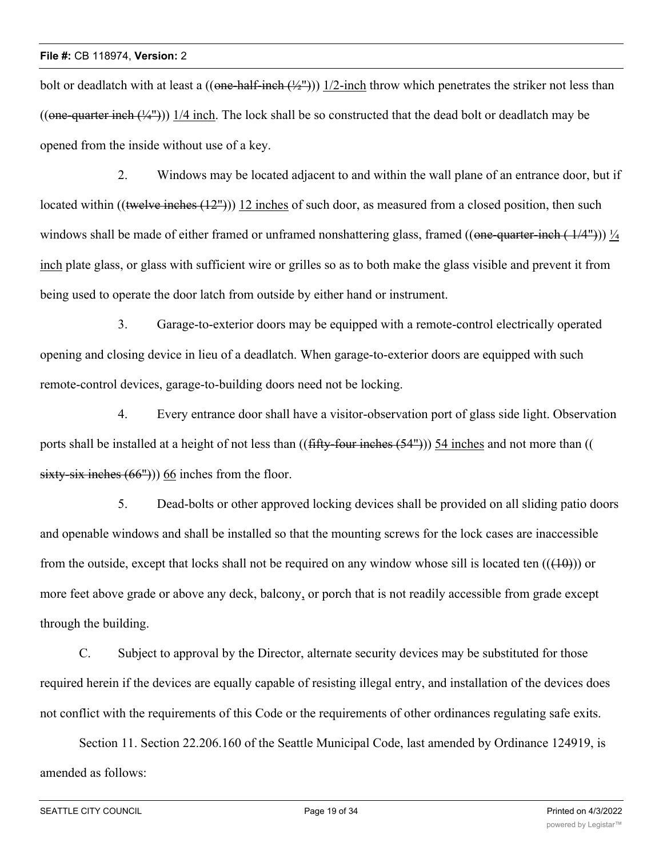bolt or deadlatch with at least a  $((\overline{\text{one-half-inch}}(\frac{1}{2}))$  1/2-inch throw which penetrates the striker not less than ((one-quarter inch  $(\frac{1}{4})$ )) 1/4 inch. The lock shall be so constructed that the dead bolt or deadlatch may be opened from the inside without use of a key.

2. Windows may be located adjacent to and within the wall plane of an entrance door, but if located within ((twelve inches  $(12^{\circ})$ )) 12 inches of such door, as measured from a closed position, then such windows shall be made of either framed or unframed nonshattering glass, framed  $((one-quarter-inch ( 1/4") ))$   $\frac{1}{4}$ inch plate glass, or glass with sufficient wire or grilles so as to both make the glass visible and prevent it from being used to operate the door latch from outside by either hand or instrument.

3. Garage-to-exterior doors may be equipped with a remote-control electrically operated opening and closing device in lieu of a deadlatch. When garage-to-exterior doors are equipped with such remote-control devices, garage-to-building doors need not be locking.

4. Every entrance door shall have a visitor-observation port of glass side light. Observation ports shall be installed at a height of not less than ((fifty-four inches (54"))) 54 inches and not more than (( sixty-six inches  $(66")$ ) 66 inches from the floor.

5. Dead-bolts or other approved locking devices shall be provided on all sliding patio doors and openable windows and shall be installed so that the mounting screws for the lock cases are inaccessible from the outside, except that locks shall not be required on any window whose sill is located ten  $((10))$  or more feet above grade or above any deck, balcony, or porch that is not readily accessible from grade except through the building.

C. Subject to approval by the Director, alternate security devices may be substituted for those required herein if the devices are equally capable of resisting illegal entry, and installation of the devices does not conflict with the requirements of this Code or the requirements of other ordinances regulating safe exits.

Section 11. Section 22.206.160 of the Seattle Municipal Code, last amended by Ordinance 124919, is amended as follows: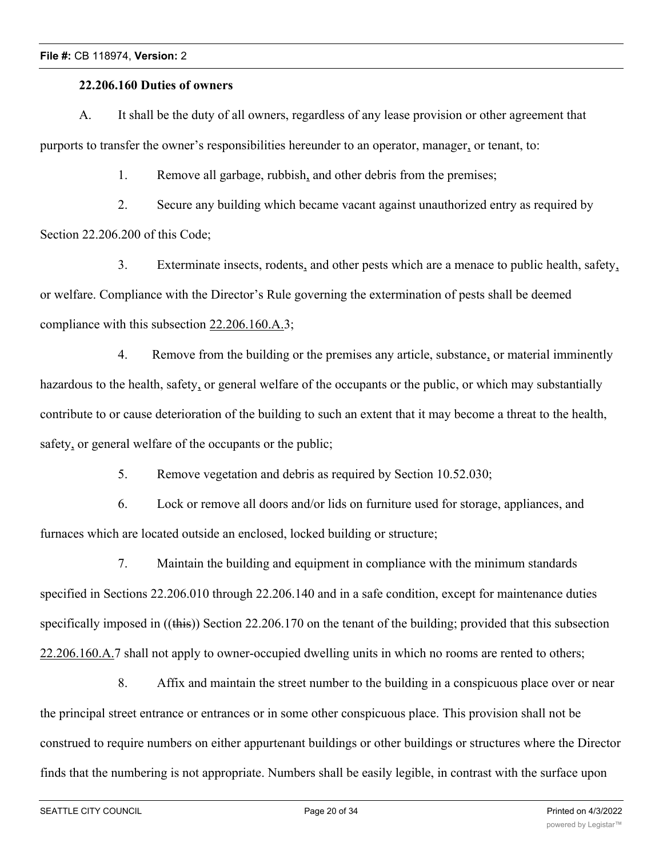#### **22.206.160 Duties of owners**

A. It shall be the duty of all owners, regardless of any lease provision or other agreement that purports to transfer the owner's responsibilities hereunder to an operator, manager, or tenant, to:

1. Remove all garbage, rubbish, and other debris from the premises;

2. Secure any building which became vacant against unauthorized entry as required by Section 22.206.200 of this Code;

3. Exterminate insects, rodents, and other pests which are a menace to public health, safety, or welfare. Compliance with the Director's Rule governing the extermination of pests shall be deemed compliance with this subsection 22.206.160.A.3;

4. Remove from the building or the premises any article, substance, or material imminently hazardous to the health, safety, or general welfare of the occupants or the public, or which may substantially contribute to or cause deterioration of the building to such an extent that it may become a threat to the health, safety, or general welfare of the occupants or the public;

5. Remove vegetation and debris as required by Section 10.52.030;

6. Lock or remove all doors and/or lids on furniture used for storage, appliances, and furnaces which are located outside an enclosed, locked building or structure;

7. Maintain the building and equipment in compliance with the minimum standards specified in Sections 22.206.010 through 22.206.140 and in a safe condition, except for maintenance duties specifically imposed in ((this)) Section 22.206.170 on the tenant of the building; provided that this subsection 22.206.160.A.7 shall not apply to owner-occupied dwelling units in which no rooms are rented to others;

8. Affix and maintain the street number to the building in a conspicuous place over or near the principal street entrance or entrances or in some other conspicuous place. This provision shall not be construed to require numbers on either appurtenant buildings or other buildings or structures where the Director finds that the numbering is not appropriate. Numbers shall be easily legible, in contrast with the surface upon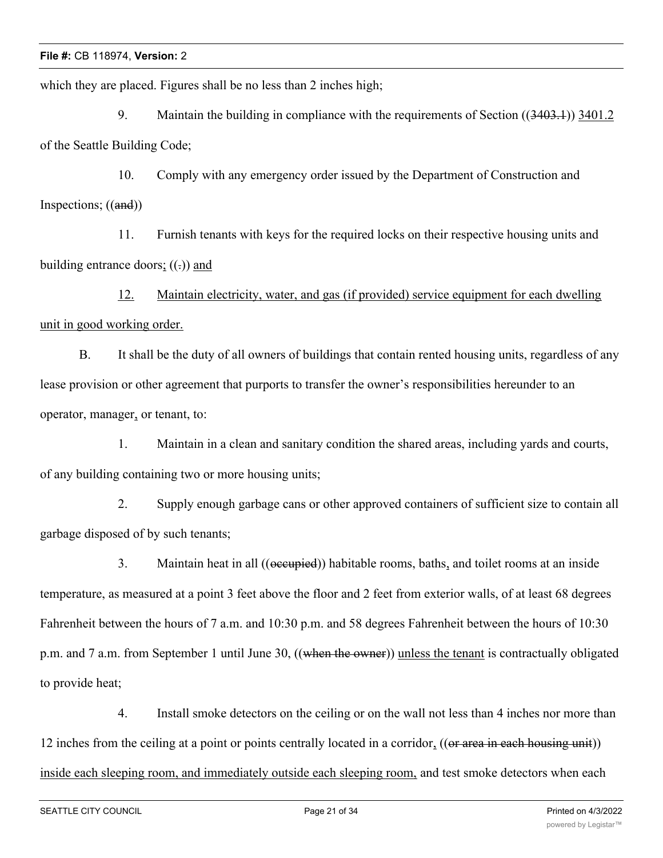which they are placed. Figures shall be no less than 2 inches high;

9. Maintain the building in compliance with the requirements of Section ((3403.1)) 3401.2 of the Seattle Building Code;

10. Comply with any emergency order issued by the Department of Construction and Inspections; ((and))

11. Furnish tenants with keys for the required locks on their respective housing units and building entrance doors;  $((.)$  and

12. Maintain electricity, water, and gas (if provided) service equipment for each dwelling unit in good working order.

B. It shall be the duty of all owners of buildings that contain rented housing units, regardless of any lease provision or other agreement that purports to transfer the owner's responsibilities hereunder to an operator, manager, or tenant, to:

1. Maintain in a clean and sanitary condition the shared areas, including yards and courts, of any building containing two or more housing units;

2. Supply enough garbage cans or other approved containers of sufficient size to contain all garbage disposed of by such tenants;

3. Maintain heat in all ((occupied)) habitable rooms, baths, and toilet rooms at an inside temperature, as measured at a point 3 feet above the floor and 2 feet from exterior walls, of at least 68 degrees Fahrenheit between the hours of 7 a.m. and 10:30 p.m. and 58 degrees Fahrenheit between the hours of 10:30 p.m. and 7 a.m. from September 1 until June 30, ((when the owner)) unless the tenant is contractually obligated to provide heat;

4. Install smoke detectors on the ceiling or on the wall not less than 4 inches nor more than 12 inches from the ceiling at a point or points centrally located in a corridor, ((or area in each housing unit)) inside each sleeping room, and immediately outside each sleeping room, and test smoke detectors when each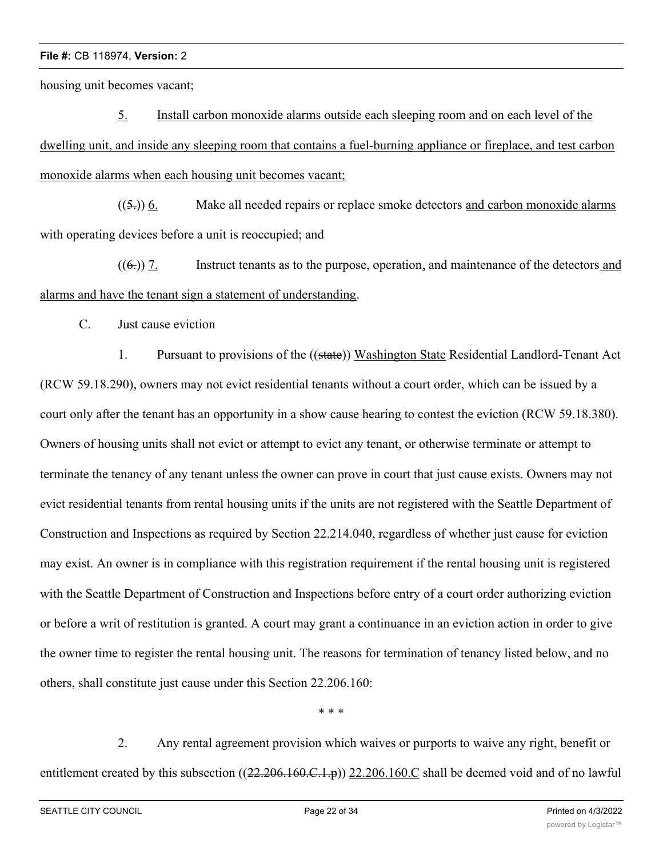housing unit becomes vacant;

5. Install carbon monoxide alarms outside each sleeping room and on each level of the dwelling unit, and inside any sleeping room that contains a fuel-burning appliance or fireplace, and test carbon monoxide alarms when each housing unit becomes vacant;

 $((5))$  6. Make all needed repairs or replace smoke detectors and carbon monoxide alarms with operating devices before a unit is reoccupied; and

 $((6))$  7. Instruct tenants as to the purpose, operation, and maintenance of the detectors and alarms and have the tenant sign a statement of understanding.

C. Just cause eviction

1. Pursuant to provisions of the ((state)) Washington State Residential Landlord-Tenant Act (RCW 59.18.290), owners may not evict residential tenants without a court order, which can be issued by a court only after the tenant has an opportunity in a show cause hearing to contest the eviction (RCW 59.18.380). Owners of housing units shall not evict or attempt to evict any tenant, or otherwise terminate or attempt to terminate the tenancy of any tenant unless the owner can prove in court that just cause exists. Owners may not evict residential tenants from rental housing units if the units are not registered with the Seattle Department of Construction and Inspections as required by Section 22.214.040, regardless of whether just cause for eviction may exist. An owner is in compliance with this registration requirement if the rental housing unit is registered with the Seattle Department of Construction and Inspections before entry of a court order authorizing eviction or before a writ of restitution is granted. A court may grant a continuance in an eviction action in order to give the owner time to register the rental housing unit. The reasons for termination of tenancy listed below, and no others, shall constitute just cause under this Section 22.206.160:

\* \* \*

2. Any rental agreement provision which waives or purports to waive any right, benefit or entitlement created by this subsection ((22.206.160.C.1.p)) 22.206.160.C shall be deemed void and of no lawful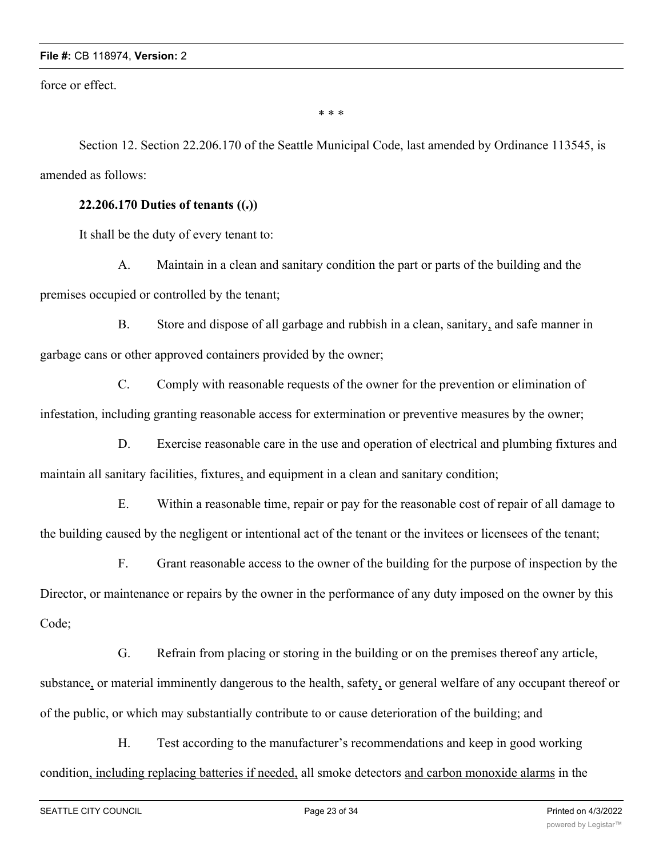force or effect.

\* \* \*

Section 12. Section 22.206.170 of the Seattle Municipal Code, last amended by Ordinance 113545, is amended as follows:

### **22.206.170 Duties of tenants ((.))**

It shall be the duty of every tenant to:

A. Maintain in a clean and sanitary condition the part or parts of the building and the premises occupied or controlled by the tenant;

B. Store and dispose of all garbage and rubbish in a clean, sanitary, and safe manner in garbage cans or other approved containers provided by the owner;

C. Comply with reasonable requests of the owner for the prevention or elimination of infestation, including granting reasonable access for extermination or preventive measures by the owner;

D. Exercise reasonable care in the use and operation of electrical and plumbing fixtures and maintain all sanitary facilities, fixtures, and equipment in a clean and sanitary condition;

E. Within a reasonable time, repair or pay for the reasonable cost of repair of all damage to the building caused by the negligent or intentional act of the tenant or the invitees or licensees of the tenant;

F. Grant reasonable access to the owner of the building for the purpose of inspection by the Director, or maintenance or repairs by the owner in the performance of any duty imposed on the owner by this Code;

G. Refrain from placing or storing in the building or on the premises thereof any article, substance, or material imminently dangerous to the health, safety, or general welfare of any occupant thereof or of the public, or which may substantially contribute to or cause deterioration of the building; and

H. Test according to the manufacturer's recommendations and keep in good working condition, including replacing batteries if needed, all smoke detectors and carbon monoxide alarms in the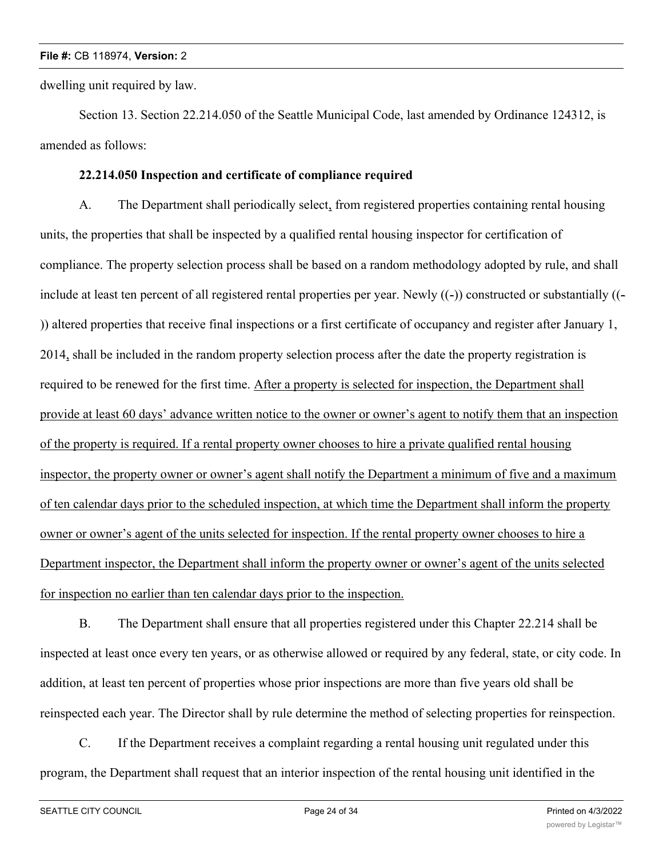dwelling unit required by law.

Section 13. Section 22.214.050 of the Seattle Municipal Code, last amended by Ordinance 124312, is amended as follows:

## **22.214.050 Inspection and certificate of compliance required**

A. The Department shall periodically select, from registered properties containing rental housing units, the properties that shall be inspected by a qualified rental housing inspector for certification of compliance. The property selection process shall be based on a random methodology adopted by rule, and shall include at least ten percent of all registered rental properties per year. Newly ((-)) constructed or substantially ((- )) altered properties that receive final inspections or a first certificate of occupancy and register after January 1, 2014, shall be included in the random property selection process after the date the property registration is required to be renewed for the first time. After a property is selected for inspection, the Department shall provide at least 60 days' advance written notice to the owner or owner's agent to notify them that an inspection of the property is required. If a rental property owner chooses to hire a private qualified rental housing inspector, the property owner or owner's agent shall notify the Department a minimum of five and a maximum of ten calendar days prior to the scheduled inspection, at which time the Department shall inform the property owner or owner's agent of the units selected for inspection. If the rental property owner chooses to hire a Department inspector, the Department shall inform the property owner or owner's agent of the units selected for inspection no earlier than ten calendar days prior to the inspection.

B. The Department shall ensure that all properties registered under this Chapter 22.214 shall be inspected at least once every ten years, or as otherwise allowed or required by any federal, state, or city code. In addition, at least ten percent of properties whose prior inspections are more than five years old shall be reinspected each year. The Director shall by rule determine the method of selecting properties for reinspection.

C. If the Department receives a complaint regarding a rental housing unit regulated under this program, the Department shall request that an interior inspection of the rental housing unit identified in the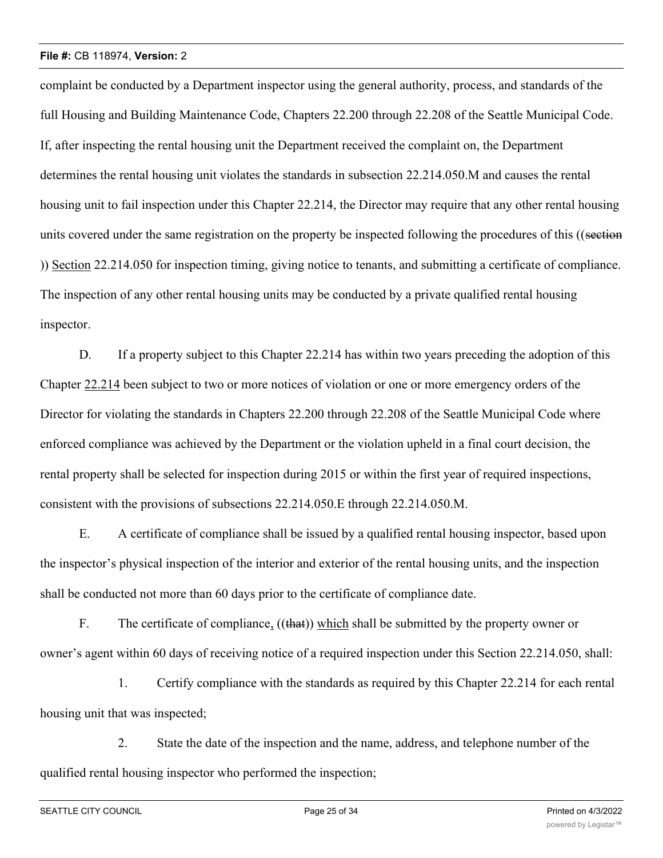complaint be conducted by a Department inspector using the general authority, process, and standards of the full Housing and Building Maintenance Code, Chapters 22.200 through 22.208 of the Seattle Municipal Code. If, after inspecting the rental housing unit the Department received the complaint on, the Department determines the rental housing unit violates the standards in subsection 22.214.050.M and causes the rental housing unit to fail inspection under this Chapter 22.214, the Director may require that any other rental housing units covered under the same registration on the property be inspected following the procedures of this ((section )) Section 22.214.050 for inspection timing, giving notice to tenants, and submitting a certificate of compliance. The inspection of any other rental housing units may be conducted by a private qualified rental housing inspector.

D. If a property subject to this Chapter 22.214 has within two years preceding the adoption of this Chapter 22.214 been subject to two or more notices of violation or one or more emergency orders of the Director for violating the standards in Chapters 22.200 through 22.208 of the Seattle Municipal Code where enforced compliance was achieved by the Department or the violation upheld in a final court decision, the rental property shall be selected for inspection during 2015 or within the first year of required inspections, consistent with the provisions of subsections 22.214.050.E through 22.214.050.M.

E. A certificate of compliance shall be issued by a qualified rental housing inspector, based upon the inspector's physical inspection of the interior and exterior of the rental housing units, and the inspection shall be conducted not more than 60 days prior to the certificate of compliance date.

F. The certificate of compliance,  $((that))$  which shall be submitted by the property owner or owner's agent within 60 days of receiving notice of a required inspection under this Section 22.214.050, shall:

1. Certify compliance with the standards as required by this Chapter 22.214 for each rental housing unit that was inspected;

2. State the date of the inspection and the name, address, and telephone number of the qualified rental housing inspector who performed the inspection;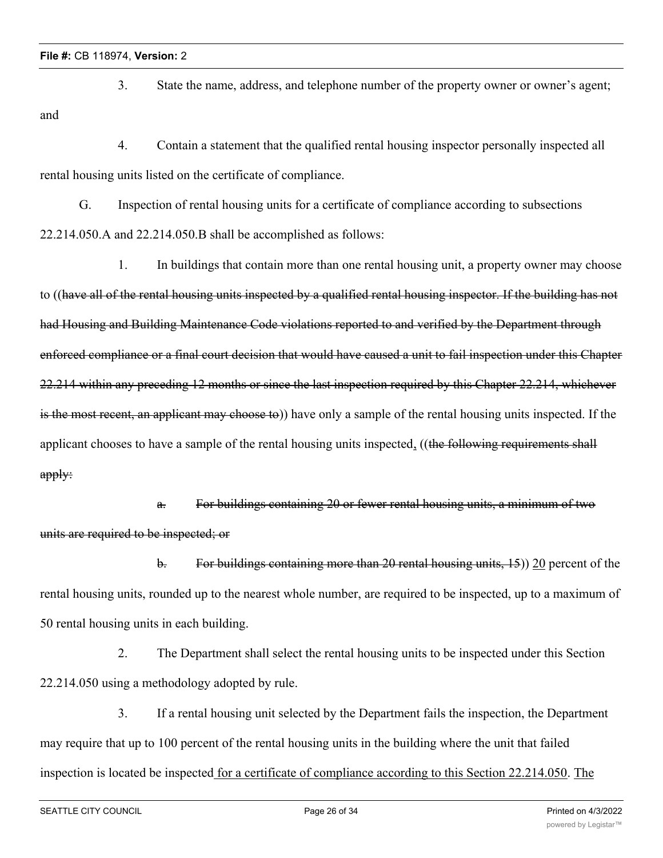and

3. State the name, address, and telephone number of the property owner or owner's agent;

4. Contain a statement that the qualified rental housing inspector personally inspected all rental housing units listed on the certificate of compliance.

G. Inspection of rental housing units for a certificate of compliance according to subsections 22.214.050.A and 22.214.050.B shall be accomplished as follows:

1. In buildings that contain more than one rental housing unit, a property owner may choose to ((have all of the rental housing units inspected by a qualified rental housing inspector. If the building has not had Housing and Building Maintenance Code violations reported to and verified by the Department through enforced compliance or a final court decision that would have caused a unit to fail inspection under this Chapter 22.214 within any preceding 12 months or since the last inspection required by this Chapter 22.214, whichever is the most recent, an applicant may choose to)) have only a sample of the rental housing units inspected. If the applicant chooses to have a sample of the rental housing units inspected, ((the following requirements shall apply:

a. For buildings containing 20 or fewer rental housing units, a minimum of two units are required to be inspected; or

b. For buildings containing more than 20 rental housing units, 15)) 20 percent of the rental housing units, rounded up to the nearest whole number, are required to be inspected, up to a maximum of 50 rental housing units in each building.

2. The Department shall select the rental housing units to be inspected under this Section 22.214.050 using a methodology adopted by rule.

3. If a rental housing unit selected by the Department fails the inspection, the Department may require that up to 100 percent of the rental housing units in the building where the unit that failed inspection is located be inspected for a certificate of compliance according to this Section 22.214.050. The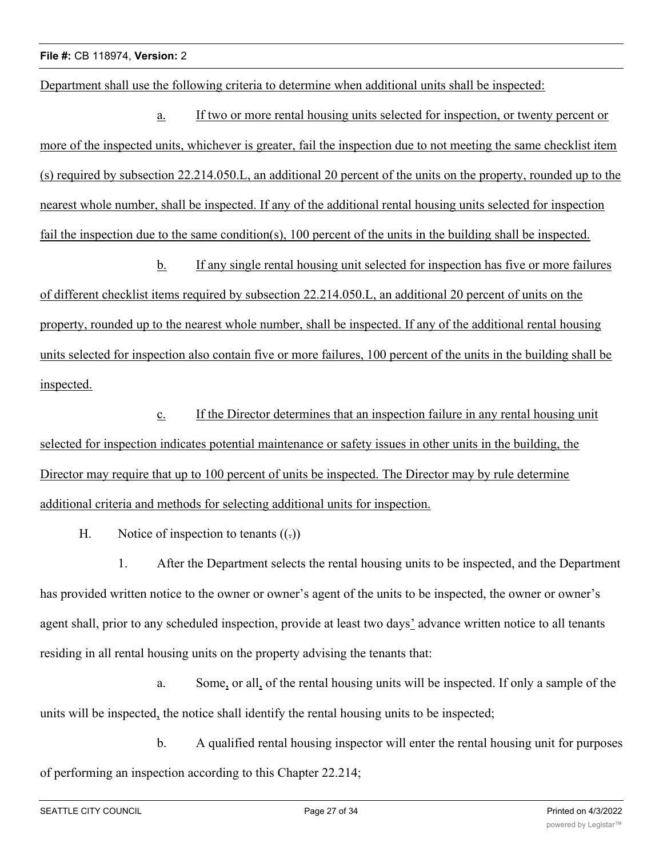Department shall use the following criteria to determine when additional units shall be inspected:

a. If two or more rental housing units selected for inspection, or twenty percent or more of the inspected units, whichever is greater, fail the inspection due to not meeting the same checklist item (s) required by subsection 22.214.050.L, an additional 20 percent of the units on the property, rounded up to the nearest whole number, shall be inspected. If any of the additional rental housing units selected for inspection fail the inspection due to the same condition(s), 100 percent of the units in the building shall be inspected.

b. If any single rental housing unit selected for inspection has five or more failures of different checklist items required by subsection 22.214.050.L, an additional 20 percent of units on the property, rounded up to the nearest whole number, shall be inspected. If any of the additional rental housing units selected for inspection also contain five or more failures, 100 percent of the units in the building shall be inspected.

c. If the Director determines that an inspection failure in any rental housing unit selected for inspection indicates potential maintenance or safety issues in other units in the building, the Director may require that up to 100 percent of units be inspected. The Director may by rule determine additional criteria and methods for selecting additional units for inspection.

H. Notice of inspection to tenants  $((.)$ 

1. After the Department selects the rental housing units to be inspected, and the Department has provided written notice to the owner or owner's agent of the units to be inspected, the owner or owner's agent shall, prior to any scheduled inspection, provide at least two days' advance written notice to all tenants residing in all rental housing units on the property advising the tenants that:

a. Some, or all, of the rental housing units will be inspected. If only a sample of the units will be inspected, the notice shall identify the rental housing units to be inspected;

b. A qualified rental housing inspector will enter the rental housing unit for purposes of performing an inspection according to this Chapter 22.214;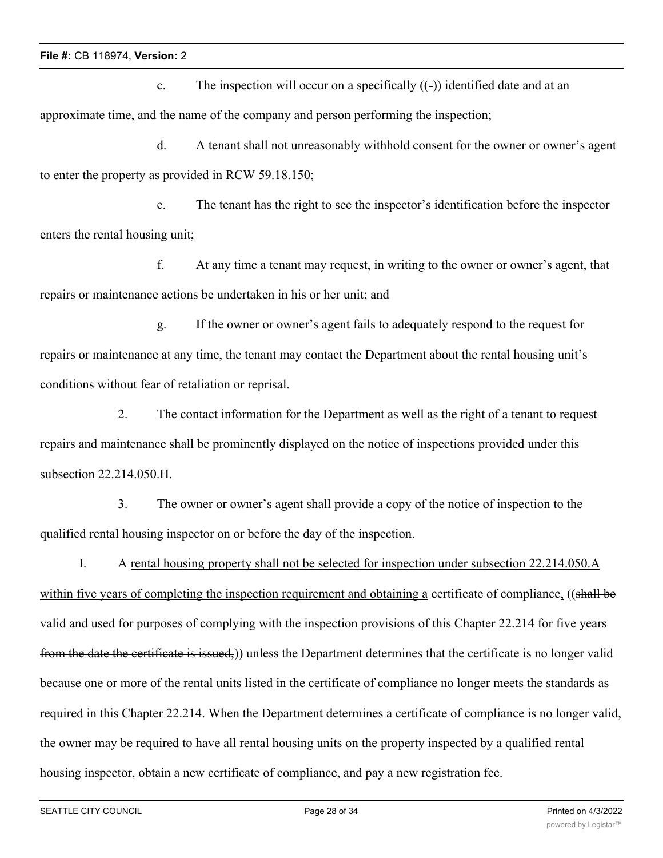c. The inspection will occur on a specifically  $((-)$ ) identified date and at an approximate time, and the name of the company and person performing the inspection;

d. A tenant shall not unreasonably withhold consent for the owner or owner's agent to enter the property as provided in RCW 59.18.150;

e. The tenant has the right to see the inspector's identification before the inspector enters the rental housing unit;

f. At any time a tenant may request, in writing to the owner or owner's agent, that repairs or maintenance actions be undertaken in his or her unit; and

g. If the owner or owner's agent fails to adequately respond to the request for repairs or maintenance at any time, the tenant may contact the Department about the rental housing unit's conditions without fear of retaliation or reprisal.

2. The contact information for the Department as well as the right of a tenant to request repairs and maintenance shall be prominently displayed on the notice of inspections provided under this subsection 22.214.050.H.

3. The owner or owner's agent shall provide a copy of the notice of inspection to the qualified rental housing inspector on or before the day of the inspection.

I. A rental housing property shall not be selected for inspection under subsection 22.214.050.A

within five years of completing the inspection requirement and obtaining a certificate of compliance, ((shall be valid and used for purposes of complying with the inspection provisions of this Chapter 22.214 for five years from the date the certificate is issued,)) unless the Department determines that the certificate is no longer valid because one or more of the rental units listed in the certificate of compliance no longer meets the standards as required in this Chapter 22.214. When the Department determines a certificate of compliance is no longer valid, the owner may be required to have all rental housing units on the property inspected by a qualified rental housing inspector, obtain a new certificate of compliance, and pay a new registration fee.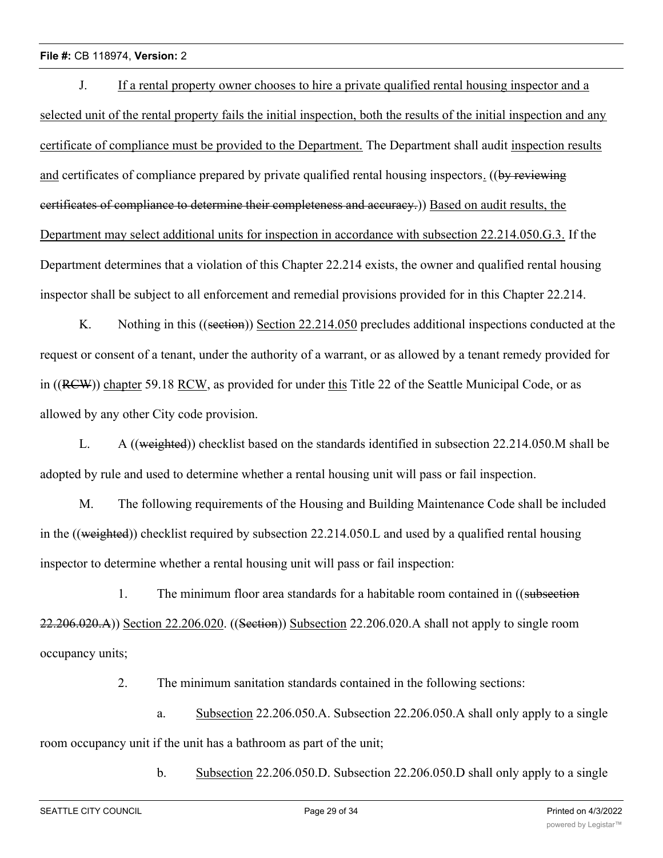J. If a rental property owner chooses to hire a private qualified rental housing inspector and a selected unit of the rental property fails the initial inspection, both the results of the initial inspection and any certificate of compliance must be provided to the Department. The Department shall audit inspection results and certificates of compliance prepared by private qualified rental housing inspectors. ((by reviewing certificates of compliance to determine their completeness and accuracy.)) Based on audit results, the Department may select additional units for inspection in accordance with subsection 22.214.050.G.3. If the Department determines that a violation of this Chapter 22.214 exists, the owner and qualified rental housing inspector shall be subject to all enforcement and remedial provisions provided for in this Chapter 22.214.

K. Nothing in this ((section)) Section 22.214.050 precludes additional inspections conducted at the request or consent of a tenant, under the authority of a warrant, or as allowed by a tenant remedy provided for in ((RCW)) chapter 59.18 RCW, as provided for under this Title 22 of the Seattle Municipal Code, or as allowed by any other City code provision.

L. A ((weighted)) checklist based on the standards identified in subsection 22.214.050.M shall be adopted by rule and used to determine whether a rental housing unit will pass or fail inspection.

M. The following requirements of the Housing and Building Maintenance Code shall be included in the ((weighted)) checklist required by subsection 22.214.050.L and used by a qualified rental housing inspector to determine whether a rental housing unit will pass or fail inspection:

1. The minimum floor area standards for a habitable room contained in ((subsection 22.206.020.A)) Section 22.206.020. ((Section)) Subsection 22.206.020.A shall not apply to single room occupancy units;

2. The minimum sanitation standards contained in the following sections:

a. Subsection 22.206.050.A. Subsection 22.206.050.A shall only apply to a single room occupancy unit if the unit has a bathroom as part of the unit;

b. Subsection 22.206.050.D. Subsection 22.206.050.D shall only apply to a single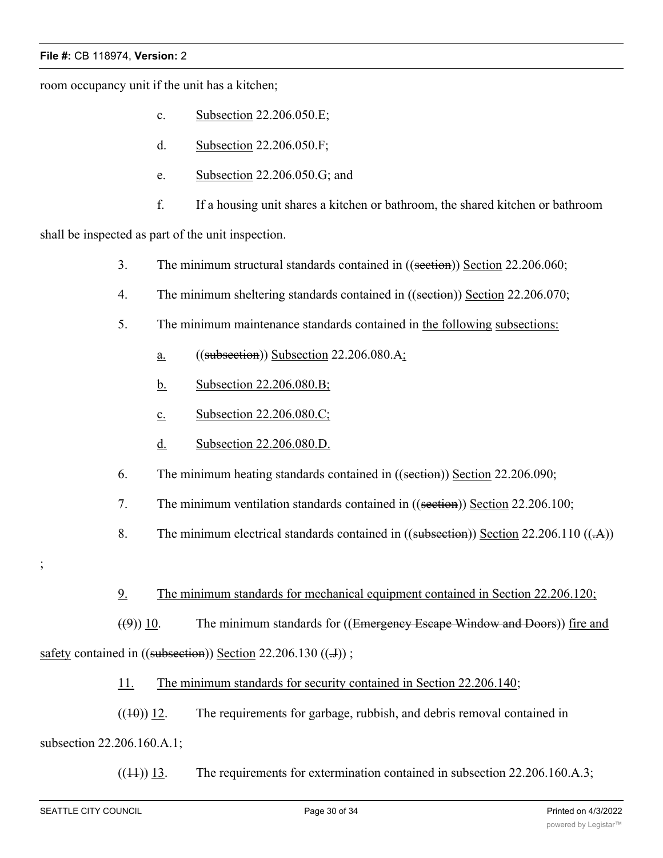room occupancy unit if the unit has a kitchen;

- c. Subsection 22.206.050.E;
- d. Subsection 22.206.050.F;
- e. Subsection 22.206.050.G; and
- f. If a housing unit shares a kitchen or bathroom, the shared kitchen or bathroom

shall be inspected as part of the unit inspection.

- 3. The minimum structural standards contained in ((section)) Section 22.206.060;
- 4. The minimum sheltering standards contained in ((section)) Section 22.206.070;
- 5. The minimum maintenance standards contained in the following subsections:
	- a.  $((subsection))$  Subsection 22.206.080.A;
	- b. Subsection 22.206.080.B;
	- c. Subsection 22.206.080.C;
	- d. Subsection 22.206.080.D.
- 6. The minimum heating standards contained in ((section)) Section 22.206.090;
- 7. The minimum ventilation standards contained in ((section)) Section 22.206.100;
- 8. The minimum electrical standards contained in ((subsection)) Section 22.206.110 ((-A))
- ;
- 9. The minimum standards for mechanical equipment contained in Section 22.206.120;

 $((9))$  10. The minimum standards for ((Emergency Escape Window and Doors)) fire and safety contained in  $((subsection) )$  Section 22.206.130  $((\text{.}J))$ ;

11. The minimum standards for security contained in Section 22.206.140;

 $((10))$  12. The requirements for garbage, rubbish, and debris removal contained in subsection 22.206.160.A.1;

 $((14))$  13. The requirements for extermination contained in subsection 22.206.160.A.3;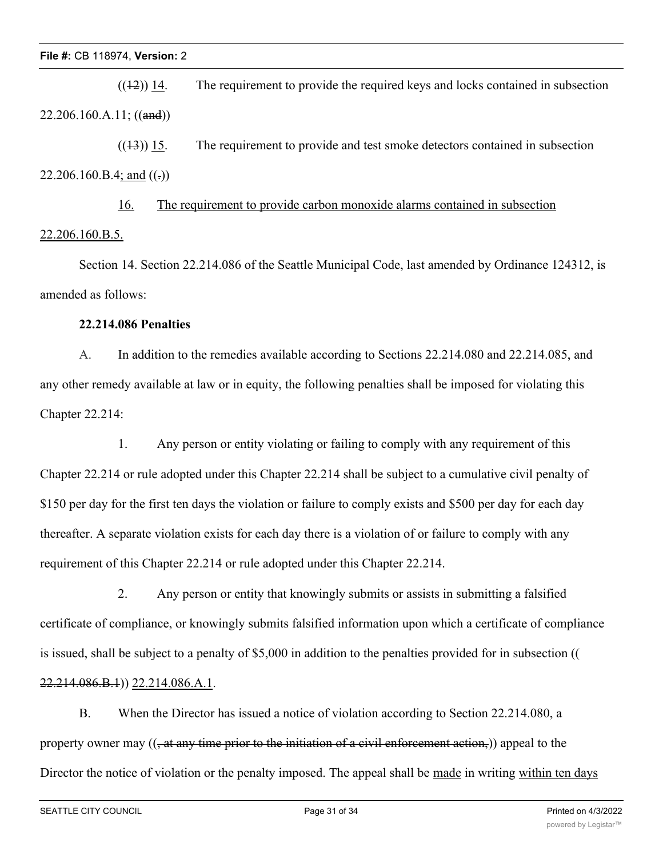$((12))$  14. The requirement to provide the required keys and locks contained in subsection 22.206.160.A.11; ((and))

 $((1\text{--}3))$  15. The requirement to provide and test smoke detectors contained in subsection 22.206.160.B.4; and  $((.)$ 

16. The requirement to provide carbon monoxide alarms contained in subsection 22.206.160.B.5.

Section 14. Section 22.214.086 of the Seattle Municipal Code, last amended by Ordinance 124312, is amended as follows:

## **22.214.086 Penalties**

A. In addition to the remedies available according to Sections 22.214.080 and 22.214.085, and any other remedy available at law or in equity, the following penalties shall be imposed for violating this Chapter 22.214:

1. Any person or entity violating or failing to comply with any requirement of this Chapter 22.214 or rule adopted under this Chapter 22.214 shall be subject to a cumulative civil penalty of \$150 per day for the first ten days the violation or failure to comply exists and \$500 per day for each day thereafter. A separate violation exists for each day there is a violation of or failure to comply with any requirement of this Chapter 22.214 or rule adopted under this Chapter 22.214.

2. Any person or entity that knowingly submits or assists in submitting a falsified certificate of compliance, or knowingly submits falsified information upon which a certificate of compliance is issued, shall be subject to a penalty of \$5,000 in addition to the penalties provided for in subsection (( 22.214.086.B.1)) 22.214.086.A.1.

B. When the Director has issued a notice of violation according to Section 22.214.080, a property owner may  $((, at any time prior to the initiation of a civil enforcement action))$  appeal to the Director the notice of violation or the penalty imposed. The appeal shall be made in writing within ten days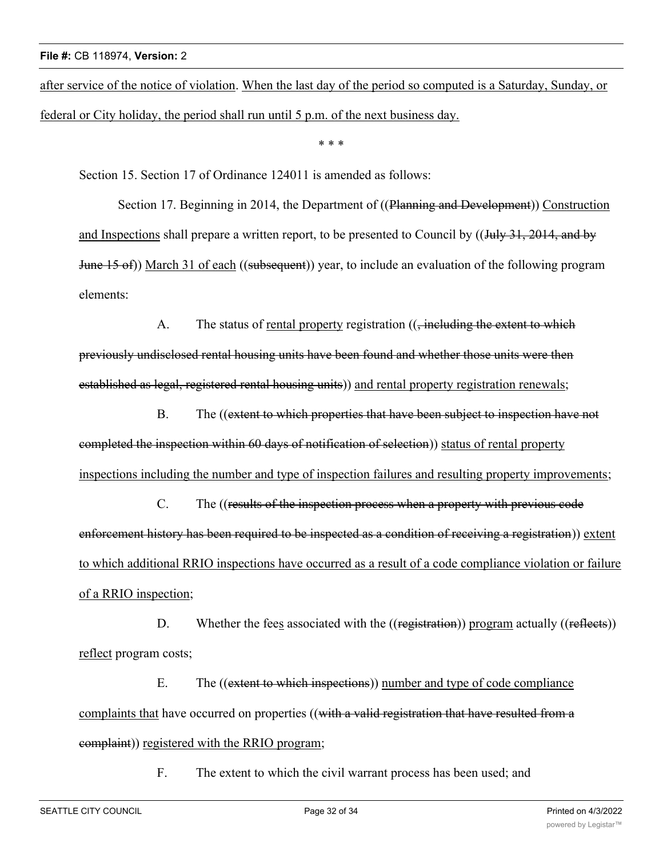after service of the notice of violation. When the last day of the period so computed is a Saturday, Sunday, or federal or City holiday, the period shall run until 5 p.m. of the next business day.

\* \* \*

Section 15. Section 17 of Ordinance 124011 is amended as follows:

Section 17. Beginning in 2014, the Department of ((Planning and Development)) Construction and Inspections shall prepare a written report, to be presented to Council by ((July 31, 2014, and by June 15 of)) March 31 of each ((subsequent)) year, to include an evaluation of the following program elements:

A. The status of rental property registration  $((, \text{including the extent to which})$ previously undisclosed rental housing units have been found and whether those units were then established as legal, registered rental housing units)) and rental property registration renewals;

B. The ((extent to which properties that have been subject to inspection have not completed the inspection within 60 days of notification of selection)) status of rental property inspections including the number and type of inspection failures and resulting property improvements;

C. The ((results of the inspection process when a property with previous code enforcement history has been required to be inspected as a condition of receiving a registration)) extent to which additional RRIO inspections have occurred as a result of a code compliance violation or failure of a RRIO inspection;

D. Whether the fees associated with the ((registration)) program actually ((reflects)) reflect program costs;

E. The ((extent to which inspections)) number and type of code compliance complaints that have occurred on properties ((with a valid registration that have resulted from a complaint)) registered with the RRIO program;

F. The extent to which the civil warrant process has been used; and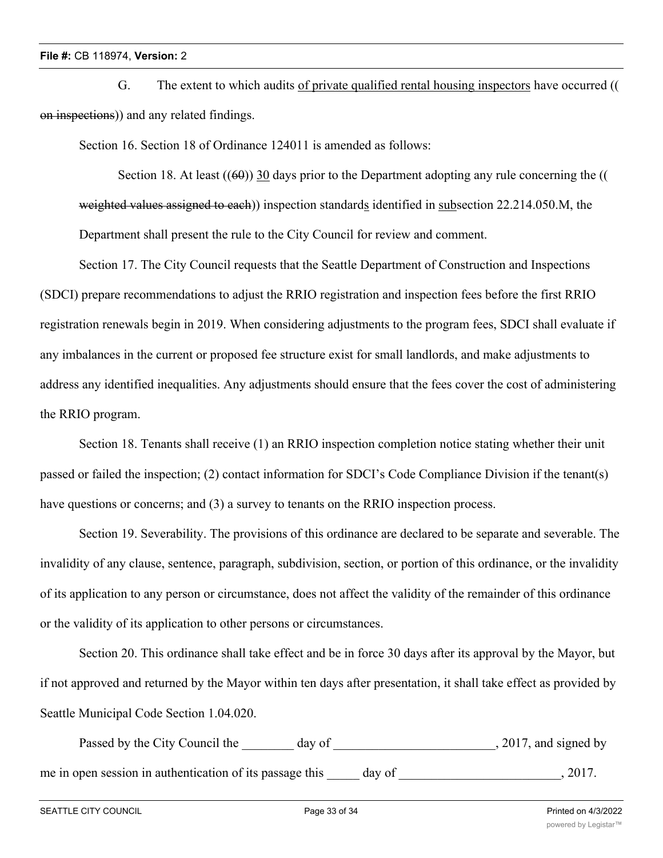G. The extent to which audits of private qualified rental housing inspectors have occurred (( on inspections)) and any related findings.

Section 16. Section 18 of Ordinance 124011 is amended as follows:

Section 18. At least  $((60))$  30 days prior to the Department adopting any rule concerning the  $(($ weighted values assigned to each)) inspection standards identified in subsection 22.214.050.M, the Department shall present the rule to the City Council for review and comment.

Section 17. The City Council requests that the Seattle Department of Construction and Inspections (SDCI) prepare recommendations to adjust the RRIO registration and inspection fees before the first RRIO registration renewals begin in 2019. When considering adjustments to the program fees, SDCI shall evaluate if any imbalances in the current or proposed fee structure exist for small landlords, and make adjustments to address any identified inequalities. Any adjustments should ensure that the fees cover the cost of administering the RRIO program.

Section 18. Tenants shall receive (1) an RRIO inspection completion notice stating whether their unit passed or failed the inspection; (2) contact information for SDCI's Code Compliance Division if the tenant(s) have questions or concerns; and (3) a survey to tenants on the RRIO inspection process.

Section 19. Severability. The provisions of this ordinance are declared to be separate and severable. The invalidity of any clause, sentence, paragraph, subdivision, section, or portion of this ordinance, or the invalidity of its application to any person or circumstance, does not affect the validity of the remainder of this ordinance or the validity of its application to other persons or circumstances.

Section 20. This ordinance shall take effect and be in force 30 days after its approval by the Mayor, but if not approved and returned by the Mayor within ten days after presentation, it shall take effect as provided by Seattle Municipal Code Section 1.04.020.

Passed by the City Council the \_\_\_\_\_\_\_ day of \_\_\_\_\_\_\_\_\_\_\_\_\_\_\_\_\_\_\_\_\_\_\_\_, 2017, and signed by me in open session in authentication of its passage this \_\_\_\_\_ day of \_\_\_\_\_\_\_\_\_\_\_\_\_\_\_\_\_\_\_\_\_, 2017.